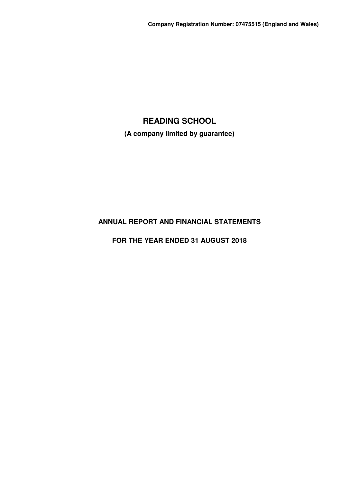**(A company limited by guarantee)**

# **ANNUAL REPORT AND FINANCIAL STATEMENTS**

# **FOR THE YEAR ENDED 31 AUGUST 2018**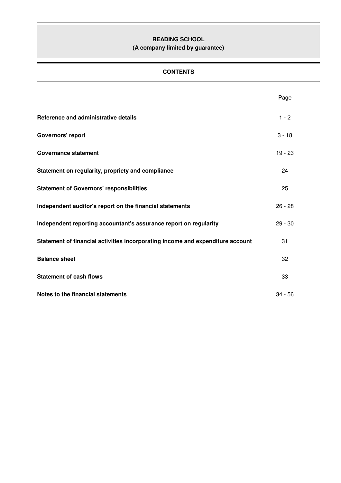# **(A company limited by guarantee)**

# **CONTENTS**

|                                                                                | Page      |
|--------------------------------------------------------------------------------|-----------|
| Reference and administrative details                                           | $1 - 2$   |
| Governors' report                                                              | $3 - 18$  |
| <b>Governance statement</b>                                                    | $19 - 23$ |
| Statement on regularity, propriety and compliance                              | 24        |
| <b>Statement of Governors' responsibilities</b>                                | 25        |
| Independent auditor's report on the financial statements                       | $26 - 28$ |
| Independent reporting accountant's assurance report on regularity              | $29 - 30$ |
| Statement of financial activities incorporating income and expenditure account | 31        |
| <b>Balance sheet</b>                                                           | 32        |
| <b>Statement of cash flows</b>                                                 | 33        |
| Notes to the financial statements                                              | $34 - 56$ |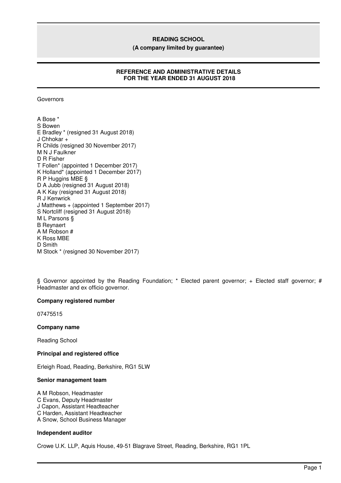**(A company limited by guarantee)**

# **REFERENCE AND ADMINISTRATIVE DETAILS FOR THE YEAR ENDED 31 AUGUST 2018**

Governors

A Bose \* S Bowen E Bradley \* (resigned 31 August 2018) J Chhokar + R Childs (resigned 30 November 2017) M N J Faulkner D R Fisher T Follen\* (appointed 1 December 2017) K Holland\* (appointed 1 December 2017) R P Huggins MBE § D A Jubb (resigned 31 August 2018) A K Kay (resigned 31 August 2018) R J Kenwrick J Matthews + (appointed 1 September 2017) S Nortcliff (resigned 31 August 2018) M L Parsons § B Reynaert A M Robson # K Ross MBE D Smith M Stock \* (resigned 30 November 2017)

§ Governor appointed by the Reading Foundation; \* Elected parent governor; + Elected staff governor; # Headmaster and ex officio governor.

# **Company registered number**

07475515

# **Company name**

Reading School

# **Principal and registered office**

Erleigh Road, Reading, Berkshire, RG1 5LW

#### **Senior management team**

A M Robson, Headmaster C Evans, Deputy Headmaster J Capon, Assistant Headteacher C Harden, Assistant Headteacher A Snow, School Business Manager

# **Independent auditor**

Crowe U.K. LLP, Aquis House, 49-51 Blagrave Street, Reading, Berkshire, RG1 1PL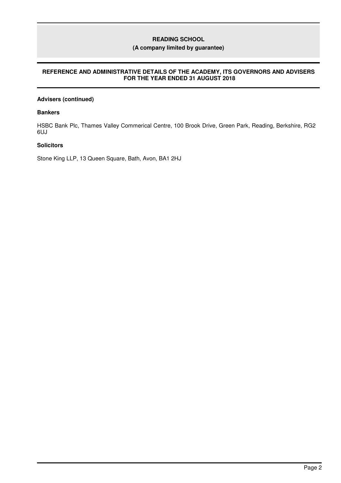# **(A company limited by guarantee)**

# **REFERENCE AND ADMINISTRATIVE DETAILS OF THE ACADEMY, ITS GOVERNORS AND ADVISERS FOR THE YEAR ENDED 31 AUGUST 2018**

# **Advisers (continued)**

## **Bankers**

HSBC Bank Plc, Thames Valley Commerical Centre, 100 Brook Drive, Green Park, Reading, Berkshire, RG2 6UJ

# **Solicitors**

Stone King LLP, 13 Queen Square, Bath, Avon, BA1 2HJ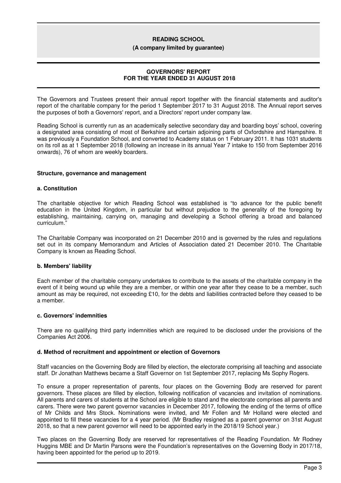#### **(A company limited by guarantee)**

## **GOVERNORS' REPORT FOR THE YEAR ENDED 31 AUGUST 2018**

The Governors and Trustees present their annual report together with the financial statements and auditor's report of the charitable company for the period 1 September 2017 to 31 August 2018. The Annual report serves the purposes of both a Governors' report, and a Directors' report under company law.

Reading School is currently run as an academically selective secondary day and boarding boys' school, covering a designated area consisting of most of Berkshire and certain adjoining parts of Oxfordshire and Hampshire. It was previously a Foundation School, and converted to Academy status on 1 February 2011. It has 1031 students on its roll as at 1 September 2018 (following an increase in its annual Year 7 intake to 150 from September 2016 onwards), 76 of whom are weekly boarders.

#### **Structure, governance and management**

#### **a. Constitution**

The charitable objective for which Reading School was established is "to advance for the public benefit education in the United Kingdom, in particular but without prejudice to the generality of the foregoing by establishing, maintaining, carrying on, managing and developing a School offering a broad and balanced curriculum."

The Charitable Company was incorporated on 21 December 2010 and is governed by the rules and regulations set out in its company Memorandum and Articles of Association dated 21 December 2010. The Charitable Company is known as Reading School.

# **b. Members' liability**

Each member of the charitable company undertakes to contribute to the assets of the charitable company in the event of it being wound up while they are a member, or within one year after they cease to be a member, such amount as may be required, not exceeding £10, for the debts and liabilities contracted before they ceased to be a member.

# **c. Governors' indemnities**

There are no qualifying third party indemnities which are required to be disclosed under the provisions of the Companies Act 2006.

# **d. Method of recruitment and appointment or election of Governors**

Staff vacancies on the Governing Body are filled by election, the electorate comprising all teaching and associate staff. Dr Jonathan Matthews became a Staff Governor on 1st September 2017, replacing Ms Sophy Rogers.

To ensure a proper representation of parents, four places on the Governing Body are reserved for parent governors. These places are filled by election, following notification of vacancies and invitation of nominations. All parents and carers of students at the School are eligible to stand and the electorate comprises all parents and carers. There were two parent governor vacancies in December 2017, following the ending of the terms of office of Mr Childs and Mrs Stock. Nominations were invited, and Mr Follen and Mr Holland were elected and appointed to fill these vacancies for a 4 year period. (Mr Bradley resigned as a parent governor on 31st August 2018, so that a new parent governor will need to be appointed early in the 2018/19 School year.)

Two places on the Governing Body are reserved for representatives of the Reading Foundation. Mr Rodney Huggins MBE and Dr Martin Parsons were the Foundation's representatives on the Governing Body in 2017/18, having been appointed for the period up to 2019.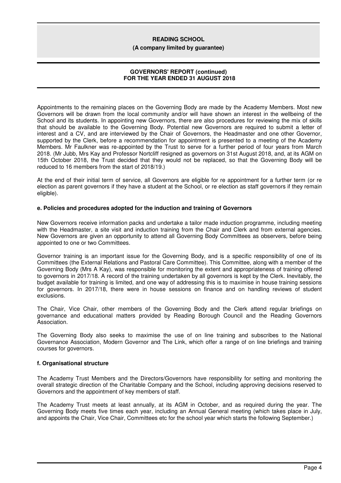#### **(A company limited by guarantee)**

## **GOVERNORS' REPORT (continued) FOR THE YEAR ENDED 31 AUGUST 2018**

Appointments to the remaining places on the Governing Body are made by the Academy Members. Most new Governors will be drawn from the local community and/or will have shown an interest in the wellbeing of the School and its students. In appointing new Governors, there are also procedures for reviewing the mix of skills that should be available to the Governing Body. Potential new Governors are required to submit a letter of interest and a CV, and are interviewed by the Chair of Governors, the Headmaster and one other Governor, supported by the Clerk, before a recommendation for appointment is presented to a meeting of the Academy Members. Mr Faulkner was re-appointed by the Trust to serve for a further period of four years from March 2018. (Mr Jubb, Mrs Kay and Professor Nortcliff resigned as governors on 31st August 2018, and, at its AGM on 15th October 2018, the Trust decided that they would not be replaced, so that the Governing Body will be reduced to 16 members from the start of 2018/19.)

At the end of their initial term of service, all Governors are eligible for re appointment for a further term (or re election as parent governors if they have a student at the School, or re election as staff governors if they remain eligible).

# **e. Policies and procedures adopted for the induction and training of Governors**

New Governors receive information packs and undertake a tailor made induction programme, including meeting with the Headmaster, a site visit and induction training from the Chair and Clerk and from external agencies. New Governors are given an opportunity to attend all Governing Body Committees as observers, before being appointed to one or two Committees.

Governor training is an important issue for the Governing Body, and is a specific responsibility of one of its Committees (the External Relations and Pastoral Care Committee). This Committee, along with a member of the Governing Body (Mrs A Kay), was responsible for monitoring the extent and appropriateness of training offered to governors in 2017/18. A record of the training undertaken by all governors is kept by the Clerk. Inevitably, the budget available for training is limited, and one way of addressing this is to maximise in house training sessions for governors. In 2017/18, there were in house sessions on finance and on handling reviews of student exclusions.

The Chair, Vice Chair, other members of the Governing Body and the Clerk attend regular briefings on governance and educational matters provided by Reading Borough Council and the Reading Governors Association.

The Governing Body also seeks to maximise the use of on line training and subscribes to the National Governance Association, Modern Governor and The Link, which offer a range of on line briefings and training courses for governors.

# **f. Organisational structure**

The Academy Trust Members and the Directors/Governors have responsibility for setting and monitoring the overall strategic direction of the Charitable Company and the School, including approving decisions reserved to Governors and the appointment of key members of staff.

The Academy Trust meets at least annually, at its AGM in October, and as required during the year. The Governing Body meets five times each year, including an Annual General meeting (which takes place in July, and appoints the Chair, Vice Chair, Committees etc for the school year which starts the following September.)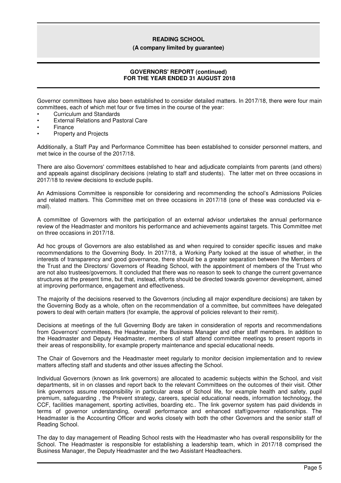#### **(A company limited by guarantee)**

# **GOVERNORS' REPORT (continued) FOR THE YEAR ENDED 31 AUGUST 2018**

Governor committees have also been established to consider detailed matters. In 2017/18, there were four main committees, each of which met four or five times in the course of the year:

- Curriculum and Standards
- External Relations and Pastoral Care
- Finance
- Property and Projects

Additionally, a Staff Pay and Performance Committee has been established to consider personnel matters, and met twice in the course of the 2017/18.

There are also Governors' committees established to hear and adjudicate complaints from parents (and others) and appeals against disciplinary decisions (relating to staff and students). The latter met on three occasions in 2017/18 to review decisions to exclude pupils.

An Admissions Committee is responsible for considering and recommending the school's Admissions Policies and related matters. This Committee met on three occasions in 2017/18 (one of these was conducted via email).

A committee of Governors with the participation of an external advisor undertakes the annual performance review of the Headmaster and monitors his performance and achievements against targets. This Committee met on three occasions in 2017/18.

Ad hoc groups of Governors are also established as and when required to consider specific issues and make recommendations to the Governing Body. In 2017/18, a Working Party looked at the issue of whether, in the interests of transparency and good governance, there should be a greater separation between the Members of the Trust and the Directors/ Governors of Reading School, with the appointment of members of the Trust who are not also trustees/governors. It concluded that there was no reason to seek to change the current governance structures at the present time, but that, instead, efforts should be directed towards governor development, aimed at improving performance, engagement and effectiveness.

The majority of the decisions reserved to the Governors (including all major expenditure decisions) are taken by the Governing Body as a whole, often on the recommendation of a committee, but committees have delegated powers to deal with certain matters (for example, the approval of policies relevant to their remit).

Decisions at meetings of the full Governing Body are taken in consideration of reports and recommendations from Governors' committees, the Headmaster, the Business Manager and other staff members. In addition to the Headmaster and Deputy Headmaster, members of staff attend committee meetings to present reports in their areas of responsibility, for example property maintenance and special educational needs.

The Chair of Governors and the Headmaster meet regularly to monitor decision implementation and to review matters affecting staff and students and other issues affecting the School.

Individual Governors (known as link governors) are allocated to academic subjects within the School, and visit departments, sit in on classes and report back to the relevant Committees on the outcomes of their visit. Other link governors assume responsibility in particular areas of School life, for example health and safety, pupil premium, safeguarding , the Prevent strategy, careers, special educational needs, information technology, the CCF, facilities management, sporting activities, boarding etc.. The link governor system has paid dividends in terms of governor understanding, overall performance and enhanced staff/governor relationships. The Headmaster is the Accounting Officer and works closely with both the other Governors and the senior staff of Reading School.

The day to day management of Reading School rests with the Headmaster who has overall responsibility for the School. The Headmaster is responsible for establishing a leadership team, which in 2017/18 comprised the Business Manager, the Deputy Headmaster and the two Assistant Headteachers.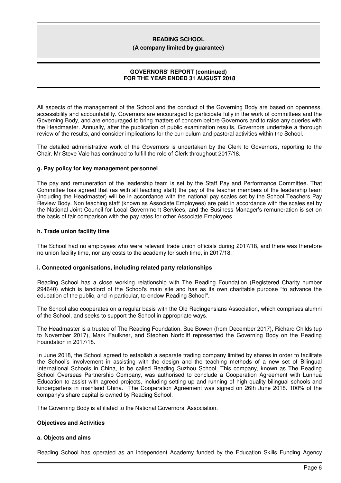**(A company limited by guarantee)**

## **GOVERNORS' REPORT (continued) FOR THE YEAR ENDED 31 AUGUST 2018**

All aspects of the management of the School and the conduct of the Governing Body are based on openness, accessibility and accountability. Governors are encouraged to participate fully in the work of committees and the Governing Body, and are encouraged to bring matters of concern before Governors and to raise any queries with the Headmaster. Annually, after the publication of public examination results, Governors undertake a thorough review of the results, and consider implications for the curriculum and pastoral activities within the School.

The detailed administrative work of the Governors is undertaken by the Clerk to Governors, reporting to the Chair. Mr Steve Vale has continued to fulfill the role of Clerk throughout 2017/18.

#### **g. Pay policy for key management personnel**

The pay and remuneration of the leadership team is set by the Staff Pay and Performance Committee. That Committee has agreed that (as with all teaching staff) the pay of the teacher members of the leadership team (including the Headmaster) will be in accordance with the national pay scales set by the School Teachers Pay Review Body. Non teaching staff (known as Associate Employees) are paid in accordance with the scales set by the National Joint Council for Local Government Services, and the Business Manager's remuneration is set on the basis of fair comparison with the pay rates for other Associate Employees.

#### **h. Trade union facility time**

The School had no employees who were relevant trade union officials during 2017/18, and there was therefore no union facility time, nor any costs to the academy for such time, in 2017/18.

#### **i. Connected organisations, including related party relationships**

Reading School has a close working relationship with The Reading Foundation (Registered Charity number 294640) which is landlord of the School's main site and has as its own charitable purpose "to advance the education of the public, and in particular, to endow Reading School''.

The School also cooperates on a regular basis with the Old Redingensians Association, which comprises alumni of the School, and seeks to support the School in appropriate ways.

The Headmaster is a trustee of The Reading Foundation. Sue Bowen (from December 2017), Richard Childs (up to November 2017), Mark Faulkner, and Stephen Nortcliff represented the Governing Body on the Reading Foundation in 2017/18.

In June 2018, the School agreed to establish a separate trading company limited by shares in order to facilitate the School's involvement in assisting with the design and the teaching methods of a new set of Bilingual International Schools in China, to be called Reading Suzhou School. This company, known as The Reading School Overseas Partnership Company, was authorised to conclude a Cooperation Agreement with Lunhua Education to assist with agreed projects, including setting up and running of high quality bilingual schools and kindergartens in mainland China. The Cooperation Agreement was signed on 26th June 2018, 100% of the company's share capital is owned by Reading School.

The Governing Body is affiliated to the National Governors' Association.

#### **Objectives and Activities**

### **a. Objects and aims**

Reading School has operated as an independent Academy funded by the Education Skills Funding Agency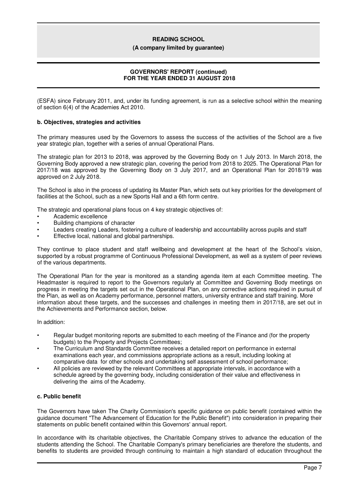#### **(A company limited by guarantee)**

# **GOVERNORS' REPORT (continued) FOR THE YEAR ENDED 31 AUGUST 2018**

(ESFA) since February 2011, and, under its funding agreement, is run as a selective school within the meaning of section 6(4) of the Academies Act 2010.

# **b. Objectives, strategies and activities**

The primary measures used by the Governors to assess the success of the activities of the School are a five year strategic plan, together with a series of annual Operational Plans.

The strategic plan for 2013 to 2018, was approved by the Governing Body on 1 July 2013. In March 2018, the Governing Body approved a new strategic plan, covering the period from 2018 to 2025. The Operational Plan for 2017/18 was approved by the Governing Body on 3 July 2017, and an Operational Plan for 2018/19 was approved on 2 July 2018.

The School is also in the process of updating its Master Plan, which sets out key priorities for the development of facilities at the School, such as a new Sports Hall and a 6th form centre.

The strategic and operational plans focus on 4 key strategic objectives of:

- Academic excellence
- Building champions of character
- Leaders creating Leaders, fostering a culture of leadership and accountability across pupils and staff
- Effective local, national and global partnerships.

They continue to place student and staff wellbeing and development at the heart of the School's vision, supported by a robust programme of Continuous Professional Development, as well as a system of peer reviews of the various departments.

The Operational Plan for the year is monitored as a standing agenda item at each Committee meeting. The Headmaster is required to report to the Governors regularly at Committee and Governing Body meetings on progress in meeting the targets set out in the Operational Plan, on any corrective actions required in pursuit of the Plan, as well as on Academy performance, personnel matters, university entrance and staff training. More information about these targets, and the successes and challenges in meeting them in 2017/18, are set out in the Achievements and Performance section, below.

In addition:

- Regular budget monitoring reports are submitted to each meeting of the Finance and (for the property budgets) to the Property and Projects Committees;
- The Curriculum and Standards Committee receives a detailed report on performance in external examinations each year, and commissions appropriate actions as a result, including looking at comparative data for other schools and undertaking self assessment of school performance;
- All policies are reviewed by the relevant Committees at appropriate intervals, in accordance with a schedule agreed by the governing body, including consideration of their value and effectiveness in delivering the aims of the Academy.

# **c. Public benefit**

The Governors have taken The Charity Commission's specific guidance on public benefit (contained within the guidance document "The Advancement of Education for the Public Benefit") into consideration in preparing their statements on public benefit contained within this Governors' annual report.

In accordance with its charitable objectives, the Charitable Company strives to advance the education of the students attending the School. The Charitable Company's primary beneficiaries are therefore the students, and benefits to students are provided through continuing to maintain a high standard of education throughout the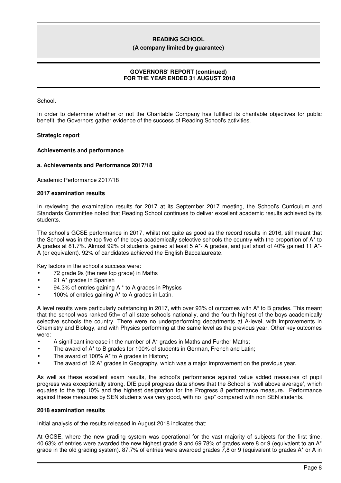#### **(A company limited by guarantee)**

# **GOVERNORS' REPORT (continued) FOR THE YEAR ENDED 31 AUGUST 2018**

School.

In order to determine whether or not the Charitable Company has fulfilled its charitable objectives for public benefit, the Governors gather evidence of the success of Reading School's activities.

#### **Strategic report**

#### **Achievements and performance**

#### **a. Achievements and Performance 2017/18**

Academic Performance 2017/18

#### **2017 examination results**

In reviewing the examination results for 2017 at its September 2017 meeting, the School's Curriculum and Standards Committee noted that Reading School continues to deliver excellent academic results achieved by its students.

The school's GCSE performance in 2017, whilst not quite as good as the record results in 2016, still meant that the School was in the top five of the boys academically selective schools the country with the proportion of A\* to A grades at 81.7%. Almost 92% of students gained at least 5 A\*- A grades, and just short of 40% gained 11 A\*- A (or equivalent). 92% of candidates achieved the English Baccalaureate.

Key factors in the school's success were:

- 72 grade 9s (the new top grade) in Maths
- 21 A\* grades in Spanish
- 94.3% of entries gaining  $A^*$  to A grades in Physics
- 100% of entries gaining A\* to A grades in Latin.

A level results were particularly outstanding in 2017, with over 93% of outcomes with A\* to B grades. This meant that the school was ranked 5th= of all state schools nationally, and the fourth highest of the boys academically selective schools the country. There were no underperforming departments at A-level, with improvements in Chemistry and Biology, and with Physics performing at the same level as the previous year. Other key outcomes were:

- A significant increase in the number of  $A^*$  grades in Maths and Further Maths;
- The award of A<sup>\*</sup> to B grades for 100% of students in German, French and Latin;
- The award of 100%  $A^*$  to A grades in History;
- The award of 12 A\* grades in Geography, which was a major improvement on the previous year.

As well as these excellent exam results, the school's performance against value added measures of pupil progress was exceptionally strong. DfE pupil progress data shows that the School is 'well above average', which equates to the top 10% and the highest designation for the Progress 8 performance measure. Performance against these measures by SEN students was very good, with no "gap" compared with non SEN students.

#### **2018 examination results**

Initial analysis of the results released in August 2018 indicates that:

At GCSE, where the new grading system was operational for the vast majority of subjects for the first time, 40.63% of entries were awarded the new highest grade 9 and 69.78% of grades were 8 or 9 (equivalent to an A\* grade in the old grading system). 87.7% of entries were awarded grades 7,8 or 9 (equivalent to grades A\* or A in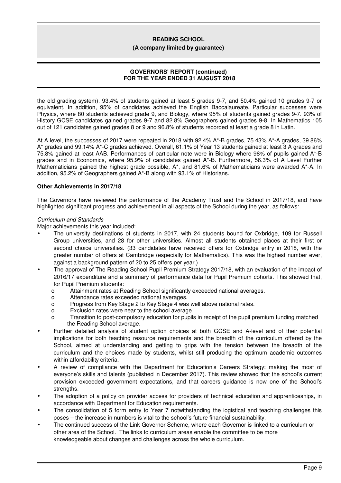**(A company limited by guarantee)**

# **GOVERNORS' REPORT (continued) FOR THE YEAR ENDED 31 AUGUST 2018**

the old grading system). 93.4% of students gained at least 5 grades 9-7, and 50.4% gained 10 grades 9-7 or equivalent. In addition, 95% of candidates achieved the English Baccalaureate. Particular successes were Physics, where 80 students achieved grade 9, and Biology, where 95% of students gained grades 9-7. 93% of History GCSE candidates gained grades 9-7 and 82.8% Geographers gained grades 9-8. In Mathematics 105 out of 121 candidates gained grades 8 or 9 and 96.8% of students recorded at least a grade 8 in Latin.

At A level, the successes of 2017 were repeated in 2018 with 92.4% A\*-B grades, 75.43% A\*-A grades, 39.86% A\* grades and 99.14% A\*-C grades achieved. Overall, 61.1% of Year 13 students gained at least 3 A grades and 75.8% gained at least AAB. Performances of particular note were in Biology where 98% of pupils gained A\*-B grades and in Economics, where 95.9% of candidates gained A\*-B. Furthermore, 56.3% of A Level Further Mathematicians gained the highest grade possible, A<sup>\*</sup>, and 81.6% of Mathematicians were awarded A<sup>\*</sup>-A. In addition, 95.2% of Geographers gained A\*-B along with 93.1% of Historians.

# **Other Achievements in 2017/18**

The Governors have reviewed the performance of the Academy Trust and the School in 2017/18, and have highlighted significant progress and achievement in all aspects of the School during the year, as follows:

#### *Curriculum and Standards*

Major achievements this year included:

- The university destinations of students in 2017, with 24 students bound for Oxbridge, 109 for Russell Group universities, and 28 for other universities. Almost all students obtained places at their first or second choice universities. (33 candidates have received offers for Oxbridge entry in 2018, with the greater number of offers at Cambridge (especially for Mathematics). This was the highest number ever, against a background pattern of 20 to 25 offers per year.)
- The approval of The Reading School Pupil Premium Strategy 2017/18, with an evaluation of the impact of 2016/17 expenditure and a summary of performance data for Pupil Premium cohorts. This showed that, for Pupil Premium students:
	- o Attainment rates at Reading School significantly exceeded national averages.
	- o Attendance rates exceeded national averages.
	- o Progress from Key Stage 2 to Key Stage 4 was well above national rates.
	- o Exclusion rates were near to the school average.
	- o Transition to post-compulsory education for pupils in receipt of the pupil premium funding matched the Reading School average.
- Further detailed analysis of student option choices at both GCSE and A-level and of their potential implications for both teaching resource requirements and the breadth of the curriculum offered by the School, aimed at understanding and getting to grips with the tension between the breadth of the curriculum and the choices made by students, whilst still producing the optimum academic outcomes within affordability criteria.
- A review of compliance with the Department for Education's Careers Strategy: making the most of everyone's skills and talents (published in December 2017). This review showed that the school's current provision exceeded government expectations, and that careers guidance is now one of the School's strengths.
- The adoption of a policy on provider access for providers of technical education and apprenticeships, in accordance with Department for Education requirements.
- The consolidation of 5 form entry to Year 7 notwithstanding the logistical and teaching challenges this poses – the increase in numbers is vital to the school's future financial sustainability.
- The continued success of the Link Governor Scheme, where each Governor is linked to a curriculum or other area of the School. The links to curriculum areas enable the committee to be more knowledgeable about changes and challenges across the whole curriculum.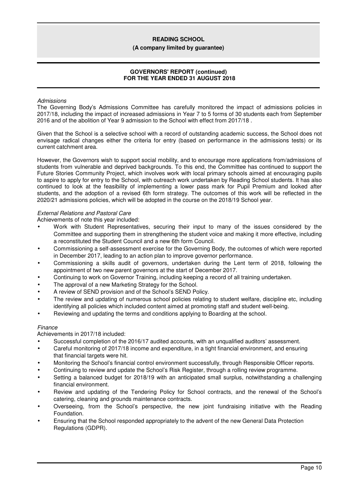#### **(A company limited by guarantee)**

# **GOVERNORS' REPORT (continued) FOR THE YEAR ENDED 31 AUGUST 2018**

#### *Admissions*

The Governing Body's Admissions Committee has carefully monitored the impact of admissions policies in 2017/18, including the impact of increased admissions in Year 7 to 5 forms of 30 students each from September 2016 and of the abolition of Year 9 admission to the School with effect from 2017/18 .

Given that the School is a selective school with a record of outstanding academic success, the School does not envisage radical changes either the criteria for entry (based on performance in the admissions tests) or its current catchment area.

However, the Governors wish to support social mobility, and to encourage more applications from/admissions of students from vulnerable and deprived backgrounds. To this end, the Committee has continued to support the Future Stories Community Project, which involves work with local primary schools aimed at encouraging pupils to aspire to apply for entry to the School, with outreach work undertaken by Reading School students. It has also continued to look at the feasibility of implementing a lower pass mark for Pupil Premium and looked after students, and the adoption of a revised 6th form strategy. The outcomes of this work will be reflected in the 2020/21 admissions policies, which will be adopted in the course on the 2018/19 School year.

# *External Relations and Pastoral Care*

Achievements of note this year included:

- Work with Student Representatives, securing their input to many of the issues considered by the Committee and supporting them in strengthening the student voice and making it more effective, including a reconstituted the Student Council and a new 6th form Council.
- Commissioning a self-assessment exercise for the Governing Body, the outcomes of which were reported in December 2017, leading to an action plan to improve governor performance.
- Commissioning a skills audit of governors, undertaken during the Lent term of 2018, following the appointment of two new parent governors at the start of December 2017.
- Continuing to work on Governor Training, including keeping a record of all training undertaken.
- The approval of a new Marketing Strategy for the School.
- A review of SEND provision and of the School's SEND Policy.
- The review and updating of numerous school policies relating to student welfare, discipline etc, including identifying all policies which included content aimed at promoting staff and student well-being.
- Reviewing and updating the terms and conditions applying to Boarding at the school.

#### *Finance*

Achievements in 2017/18 included:

- Successful completion of the 2016/17 audited accounts, with an unqualified auditors' assessment.
- Careful monitoring of 2017/18 income and expenditure, in a tight financial environment, and ensuring that financial targets were hit.
- Monitoring the School's financial control environment successfully, through Responsible Officer reports.
- Continuing to review and update the School's Risk Register, through a rolling review programme.
- Setting a balanced budget for 2018/19 with an anticipated small surplus, notwithstanding a challenging financial environment.
- Review and updating of the Tendering Policy for School contracts, and the renewal of the School's catering, cleaning and grounds maintenance contracts.
- Overseeing, from the School's perspective, the new joint fundraising initiative with the Reading Foundation.
- Ensuring that the School responded appropriately to the advent of the new General Data Protection Regulations (GDPR).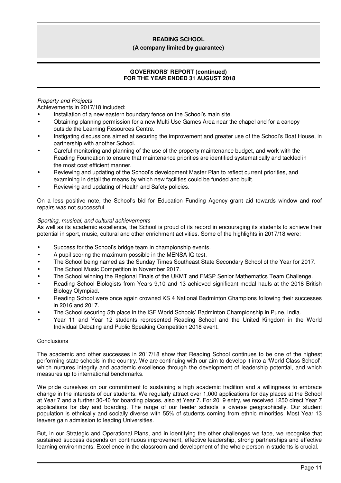#### **(A company limited by guarantee)**

# **GOVERNORS' REPORT (continued) FOR THE YEAR ENDED 31 AUGUST 2018**

# *Property and Projects*

Achievements in 2017/18 included:

- Installation of a new eastern boundary fence on the School's main site.
- Obtaining planning permission for a new Multi-Use Games Area near the chapel and for a canopy outside the Learning Resources Centre.
- Instigating discussions aimed at securing the improvement and greater use of the School's Boat House, in partnership with another School.
- Careful monitoring and planning of the use of the property maintenance budget, and work with the Reading Foundation to ensure that maintenance priorities are identified systematically and tackled in the most cost efficient manner.
- Reviewing and updating of the School's development Master Plan to reflect current priorities, and examining in detail the means by which new facilities could be funded and built.
- Reviewing and updating of Health and Safety policies.

On a less positive note, the School's bid for Education Funding Agency grant aid towards window and roof repairs was not successful.

# *Sporting, musical, and cultural achievements*

As well as its academic excellence, the School is proud of its record in encouraging its students to achieve their potential in sport, music, cultural and other enrichment activities. Some of the highlights in 2017/18 were:

- Success for the School's bridge team in championship events.
- A pupil scoring the maximum possible in the MENSA IQ test.
- The School being named as the Sunday Times Southeast State Secondary School of the Year for 2017.
- The School Music Competition in November 2017.
- The School winning the Regional Finals of the UKMT and FMSP Senior Mathematics Team Challenge.
- Reading School Biologists from Years 9,10 and 13 achieved significant medal hauls at the 2018 British Biology Olympiad.
- Reading School were once again crowned KS 4 National Badminton Champions following their successes in 2016 and 2017.
- The School securing 5th place in the ISF World Schools' Badminton Championship in Pune, India.
- Year 11 and Year 12 students represented Reading School and the United Kingdom in the World Individual Debating and Public Speaking Competition 2018 event.

# **Conclusions**

The academic and other successes in 2017/18 show that Reading School continues to be one of the highest performing state schools in the country. We are continuing with our aim to develop it into a 'World Class School', which nurtures integrity and academic excellence through the development of leadership potential, and which measures up to international benchmarks.

We pride ourselves on our commitment to sustaining a high academic tradition and a willingness to embrace change in the interests of our students. We regularly attract over 1,000 applications for day places at the School at Year 7 and a further 30-40 for boarding places, also at Year 7. For 2019 entry, we received 1250 direct Year 7 applications for day and boarding. The range of our feeder schools is diverse geographically. Our student population is ethnically and socially diverse with 55% of students coming from ethnic minorities. Most Year 13 leavers gain admission to leading Universities.

But, in our Strategic and Operational Plans, and in identifying the other challenges we face, we recognise that sustained success depends on continuous improvement, effective leadership, strong partnerships and effective learning environments. Excellence in the classroom and development of the whole person in students is crucial.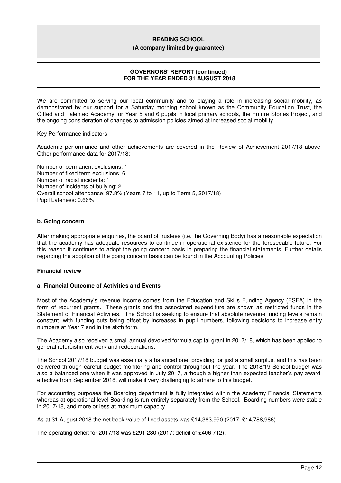**(A company limited by guarantee)**

# **GOVERNORS' REPORT (continued) FOR THE YEAR ENDED 31 AUGUST 2018**

We are committed to serving our local community and to playing a role in increasing social mobility, as demonstrated by our support for a Saturday morning school known as the Community Education Trust, the Gifted and Talented Academy for Year 5 and 6 pupils in local primary schools, the Future Stories Project, and the ongoing consideration of changes to admission policies aimed at increased social mobility.

Key Performance indicators

Academic performance and other achievements are covered in the Review of Achievement 2017/18 above. Other performance data for 2017/18:

Number of permanent exclusions: 1 Number of fixed term exclusions: 6 Number of racist incidents: 1 Number of incidents of bullying: 2 Overall school attendance: 97.8% (Years 7 to 11, up to Term 5, 2017/18) Pupil Lateness: 0.66%

# **b. Going concern**

After making appropriate enquiries, the board of trustees (i.e. the Governing Body) has a reasonable expectation that the academy has adequate resources to continue in operational existence for the foreseeable future. For this reason it continues to adopt the going concern basis in preparing the financial statements. Further details regarding the adoption of the going concern basis can be found in the Accounting Policies.

# **Financial review**

### **a. Financial Outcome of Activities and Events**

Most of the Academy's revenue income comes from the Education and Skills Funding Agency (ESFA) in the form of recurrent grants. These grants and the associated expenditure are shown as restricted funds in the Statement of Financial Activities. The School is seeking to ensure that absolute revenue funding levels remain constant, with funding cuts being offset by increases in pupil numbers, following decisions to increase entry numbers at Year 7 and in the sixth form.

The Academy also received a small annual devolved formula capital grant in 2017/18, which has been applied to general refurbishment work and redecorations.

The School 2017/18 budget was essentially a balanced one, providing for just a small surplus, and this has been delivered through careful budget monitoring and control throughout the year. The 2018/19 School budget was also a balanced one when it was approved in July 2017, although a higher than expected teacher's pay award, effective from September 2018, will make it very challenging to adhere to this budget.

For accounting purposes the Boarding department is fully integrated within the Academy Financial Statements whereas at operational level Boarding is run entirely separately from the School. Boarding numbers were stable in 2017/18, and more or less at maximum capacity.

As at 31 August 2018 the net book value of fixed assets was £14,383,990 (2017: £14,788,986).

The operating deficit for 2017/18 was £291,280 (2017: deficit of £406,712).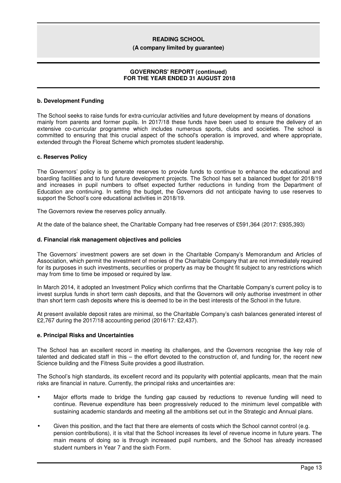#### **(A company limited by guarantee)**

# **GOVERNORS' REPORT (continued) FOR THE YEAR ENDED 31 AUGUST 2018**

### **b. Development Funding**

The School seeks to raise funds for extra-curricular activities and future development by means of donations mainly from parents and former pupils. In 2017/18 these funds have been used to ensure the delivery of an extensive co-curricular programme which includes numerous sports, clubs and societies. The school is committed to ensuring that this crucial aspect of the school's operation is improved, and where appropriate, extended through the Floreat Scheme which promotes student leadership.

#### **c. Reserves Policy**

The Governors' policy is to generate reserves to provide funds to continue to enhance the educational and boarding facilities and to fund future development projects. The School has set a balanced budget for 2018/19 and increases in pupil numbers to offset expected further reductions in funding from the Department of Education are continuing. In setting the budget, the Governors did not anticipate having to use reserves to support the School's core educational activities in 2018/19.

The Governors review the reserves policy annually.

At the date of the balance sheet, the Charitable Company had free reserves of £591,364 (2017: £935,393)

### **d. Financial risk management objectives and policies**

The Governors' investment powers are set down in the Charitable Company's Memorandum and Articles of Association, which permit the investment of monies of the Charitable Company that are not immediately required for its purposes in such investments, securities or property as may be thought fit subject to any restrictions which may from time to time be imposed or required by law.

In March 2014, it adopted an Investment Policy which confirms that the Charitable Company's current policy is to invest surplus funds in short term cash deposits, and that the Governors will only authorise investment in other than short term cash deposits where this is deemed to be in the best interests of the School in the future.

At present available deposit rates are minimal, so the Charitable Company's cash balances generated interest of £2,767 during the 2017/18 accounting period (2016/17: £2,437).

#### **e. Principal Risks and Uncertainties**

The School has an excellent record in meeting its challenges, and the Governors recognise the key role of talented and dedicated staff in this – the effort devoted to the construction of, and funding for, the recent new Science building and the Fitness Suite provides a good illustration.

The School's high standards, its excellent record and its popularity with potential applicants, mean that the main risks are financial in nature. Currently, the principal risks and uncertainties are:

- Major efforts made to bridge the funding gap caused by reductions to revenue funding will need to continue. Revenue expenditure has been progressively reduced to the minimum level compatible with sustaining academic standards and meeting all the ambitions set out in the Strategic and Annual plans.
- Given this position, and the fact that there are elements of costs which the School cannot control (e.g. pension contributions), it is vital that the School increases its level of revenue income in future years. The main means of doing so is through increased pupil numbers, and the School has already increased student numbers in Year 7 and the sixth Form.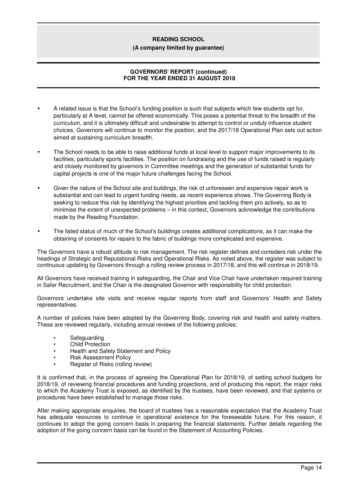#### **(A company limited by guarantee)**

# **GOVERNORS' REPORT (continued) FOR THE YEAR ENDED 31 AUGUST 2018**

- A related issue is that the School's funding position is such that subjects which few students opt for, particularly at A level, cannot be offered economically. This poses a potential threat to the breadth of the curriculum, and it is ultimately difficult and undesirable to attempt to control or unduly influence student choices. Governors will continue to monitor the position, and the 2017/18 Operational Plan sets out action aimed at sustaining curriculum breadth.
- The School needs to be able to raise additional funds at local level to support major improvements to its facilities, particularly sports facilities. The position on fundraising and the use of funds raised is regularly and closely monitored by governors in Committee meetings and the generation of substantial funds for capital projects is one of the major future challenges facing the School.
- Given the nature of the School site and buildings, the risk of unforeseen and expensive repair work is substantial and can lead to urgent funding needs, as recent experience shows. The Governing Body is seeking to reduce this risk by identifying the highest priorities and tackling them pro actively, so as to minimise the extent of unexpected problems – in this context, Governors acknowledge the contributions made by the Reading Foundation.
- The listed status of much of the School's buildings creates additional complications, as it can make the obtaining of consents for repairs to the fabric of buildings more complicated and expensive.

The Governors have a robust attitude to risk management. The risk register defines and considers risk under the headings of Strategic and Reputational Risks and Operational Risks. As noted above, the register was subject to continuous updating by Governors through a rolling review process in 2017/18, and this will continue in 2018/19.

All Governors have received training in safeguarding, the Chair and Vice Chair have undertaken required training in Safer Recruitment, and the Chair is the designated Governor with responsibility for child protection.

Governors undertake site visits and receive regular reports from staff and Governors' Health and Safety representatives.

A number of policies have been adopted by the Governing Body, covering risk and health and safety matters. These are reviewed regularly, including annual reviews of the following policies:

- **Safeguarding**
- Child Protection
- Health and Safety Statement and Policy
- Risk Assessment Policy
- Register of Risks (rolling review)

It is confirmed that, in the process of agreeing the Operational Plan for 2018/19, of setting school budgets for 2018/19, of reviewing financial procedures and funding projections, and of producing this report, the major risks to which the Academy Trust is exposed, as identified by the trustees, have been reviewed, and that systems or procedures have been established to manage those risks.

After making appropriate enquiries, the board of trustees has a reasonable expectation that the Academy Trust has adequate resources to continue in operational existence for the foreseeable future. For this reason, it continues to adopt the going concern basis in preparing the financial statements. Further details regarding the adoption of the going concern basis can be found in the Statement of Accounting Policies.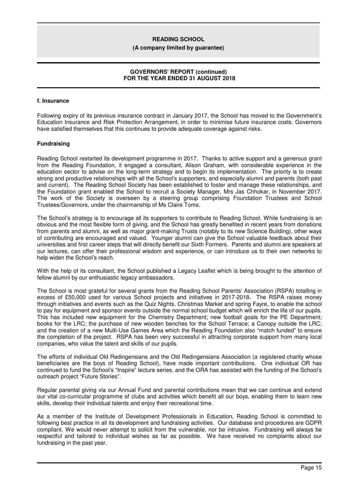#### **(A company limited by guarantee)**

## **GOVERNORS' REPORT (continued) FOR THE YEAR ENDED 31 AUGUST 2018**

# **f. Insurance**

Following expiry of its previous insurance contract in January 2017, the School has moved to the Government's Education Insurance and Risk Protection Arrangement, in order to minimise future insurance costs. Governors have satisfied themselves that this continues to provide adequate coverage against risks.

#### **Fundraising**

Reading School restarted its development programme in 2017. Thanks to active support and a generous grant from the Reading Foundation, it engaged a consultant, Alison Graham, with considerable experience in the education sector to advise on the long-term strategy and to begin its implementation. The priority is to create strong and productive relationships with all the School's supporters, and especially alumni and parents (both past and current). The Reading School Society has been established to foster and manage these relationships, and the Foundation grant enabled the School to recruit a Society Manager, Mrs Jas Chhokar, in November 2017. The work of the Society is overseen by a steering group comprising Foundation Trustees and School Trustees/Governors, under the chairmanship of Ms Claire Toms.

The School's strategy is to encourage all its supporters to contribute to Reading School. While fundraising is an obvious and the most flexible form of giving, and the School has greatly benefited in recent years from donations from parents and alumni, as well as major grant-making Trusts (notably to its new Science Building), other ways of contributing are encouraged and valued. Younger alumni can give the School valuable feedback about their universities and first career steps that will directly benefit our Sixth Formers. Parents and alumni are speakers at our lectures, can offer their professional wisdom and experience, or can introduce us to their own networks to help widen the School's reach.

With the help of its consultant, the School published a Legacy Leaflet which is being brought to the attention of fellow alumni by our enthusiastic legacy ambassadors.

The School is most grateful for several grants from the Reading School Parents' Association (RSPA) totalling in excess of £50,000 used for various School projects and initiatives in 2017-2018. The RSPA raises money through initiatives and events such as the Quiz Nights, Christmas Market and spring Fayre, to enable the school to pay for equipment and sponsor events outside the normal school budget which will enrich the life of our pupils. This has included new equipment for the Chemistry Department; new football goals for the PE Department; books for the LRC; the purchase of new wooden benches for the School Terrace; a Canopy outside the LRC; and the creation of a new Multi-Use Games Area which the Reading Foundation also "match funded" to ensure the completion of the project. RSPA has been very successful in attracting corporate support from many local companies, who value the talent and skills of our pupils.

The efforts of individual Old Redingensians and the Old Redingensians Association (a registered charity whose beneficiaries are the boys of Reading School), have made important contributions. One individual OR has continued to fund the School's "Inspire" lecture series, and the ORA has assisted with the funding of the School's outreach project "Future Stories".

Regular parental giving via our Annual Fund and parental contributions mean that we can continue and extend our vital co-curricular programme of clubs and activities which benefit all our boys, enabling them to learn new skills, develop their individual talents and enjoy their recreational time.

As a member of the Institute of Development Professionals in Education, Reading School is committed to following best practice in all its development and fundraising activities. Our database and procedures are GDPR compliant. We would never attempt to solicit from the vulnerable, nor be intrusive. Fundraising will always be respectful and tailored to individual wishes as far as possible. We have received no complaints about our fundraising in the past year.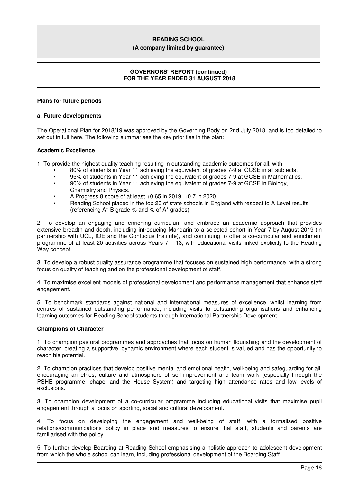#### **(A company limited by guarantee)**

# **GOVERNORS' REPORT (continued) FOR THE YEAR ENDED 31 AUGUST 2018**

#### **Plans for future periods**

#### **a. Future developments**

The Operational Plan for 2018/19 was approved by the Governing Body on 2nd July 2018, and is too detailed to set out in full here. The following summarises the key priorities in the plan:

#### **Academic Excellence**

1. To provide the highest quality teaching resulting in outstanding academic outcomes for all, with

- 80% of students in Year 11 achieving the equivalent of grades 7-9 at GCSE in all subjects.
- 95% of students in Year 11 achieving the equivalent of grades 7-9 at GCSE in Mathematics.
- 90% of students in Year 11 achieving the equivalent of grades 7-9 at GCSE in Biology, Chemistry and Physics.
- A Progress 8 score of at least +0.65 in 2019, +0.7 in 2020.
- Reading School placed in the top 20 of state schools in England with respect to A Level results (referencing A\*-B grade % and % of A\* grades)

2. To develop an engaging and enriching curriculum and embrace an academic approach that provides extensive breadth and depth, including introducing Mandarin to a selected cohort in Year 7 by August 2019 (in partnership with UCL, IOE and the Confucius Institute), and continuing to offer a co-curricular and enrichment programme of at least 20 activities across Years 7 – 13, with educational visits linked explicitly to the Reading Way concept.

3. To develop a robust quality assurance programme that focuses on sustained high performance, with a strong focus on quality of teaching and on the professional development of staff.

4. To maximise excellent models of professional development and performance management that enhance staff engagement.

5. To benchmark standards against national and international measures of excellence, whilst learning from centres of sustained outstanding performance, including visits to outstanding organisations and enhancing learning outcomes for Reading School students through International Partnership Development.

#### **Champions of Character**

1. To champion pastoral programmes and approaches that focus on human flourishing and the development of character, creating a supportive, dynamic environment where each student is valued and has the opportunity to reach his potential.

2. To champion practices that develop positive mental and emotional health, well-being and safeguarding for all, encouraging an ethos, culture and atmosphere of self-improvement and team work (especially through the PSHE programme, chapel and the House System) and targeting high attendance rates and low levels of exclusions.

3. To champion development of a co-curricular programme including educational visits that maximise pupil engagement through a focus on sporting, social and cultural development.

4. To focus on developing the engagement and well-being of staff, with a formalised positive relations/communications policy in place and measures to ensure that staff, students and parents are familiarised with the policy.

5. To further develop Boarding at Reading School emphasising a holistic approach to adolescent development from which the whole school can learn, including professional development of the Boarding Staff.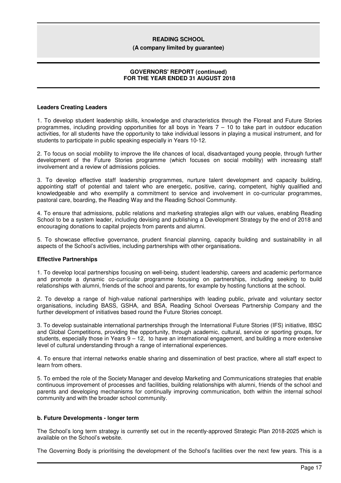#### **(A company limited by guarantee)**

# **GOVERNORS' REPORT (continued) FOR THE YEAR ENDED 31 AUGUST 2018**

#### **Leaders Creating Leaders**

1. To develop student leadership skills, knowledge and characteristics through the Floreat and Future Stories programmes, including providing opportunities for all boys in Years 7 – 10 to take part in outdoor education activities, for all students have the opportunity to take individual lessons in playing a musical instrument, and for students to participate in public speaking especially in Years 10-12.

2. To focus on social mobility to improve the life chances of local, disadvantaged young people, through further development of the Future Stories programme (which focuses on social mobility) with increasing staff involvement and a review of admissions policies.

3. To develop effective staff leadership programmes, nurture talent development and capacity building, appointing staff of potential and talent who are energetic, positive, caring, competent, highly qualified and knowledgeable and who exemplify a commitment to service and involvement in co-curricular programmes, pastoral care, boarding, the Reading Way and the Reading School Community.

4. To ensure that admissions, public relations and marketing strategies align with our values, enabling Reading School to be a system leader, including devising and publishing a Development Strategy by the end of 2018 and encouraging donations to capital projects from parents and alumni.

5. To showcase effective governance, prudent financial planning, capacity building and sustainability in all aspects of the School's activities, including partnerships with other organisations.

# **Effective Partnerships**

1. To develop local partnerships focusing on well-being, student leadership, careers and academic performance and promote a dynamic co-curricular programme focusing on partnerships, including seeking to build relationships with alumni, friends of the school and parents, for example by hosting functions at the school.

2. To develop a range of high-value national partnerships with leading public, private and voluntary sector organisations, including BASS, GSHA, and BSA, Reading School Overseas Partnership Company and the further development of initiatives based round the Future Stories concept.

3. To develop sustainable international partnerships through the International Future Stories (IFS) initiative, IBSC and Global Competitions, providing the opportunity, through academic, cultural, service or sporting groups, for students, especially those in Years  $9 - 12$ , to have an international engagement, and building a more extensive level of cultural understanding through a range of international experiences.

4. To ensure that internal networks enable sharing and dissemination of best practice, where all staff expect to learn from others.

5. To embed the role of the Society Manager and develop Marketing and Communications strategies that enable continuous improvement of processes and facilities, building relationships with alumni, friends of the school and parents and developing mechanisms for continually improving communication, both within the internal school community and with the broader school community.

# **b. Future Developments - longer term**

The School's long term strategy is currently set out in the recently-approved Strategic Plan 2018-2025 which is available on the School's website.

The Governing Body is prioritising the development of the School's facilities over the next few years. This is a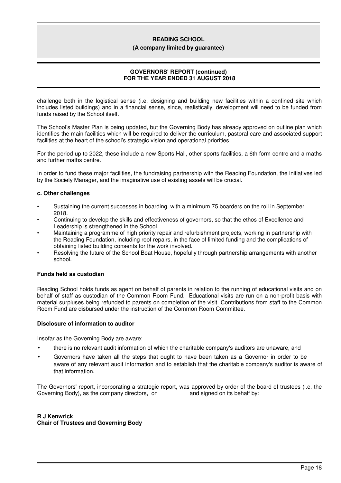#### **(A company limited by guarantee)**

# **GOVERNORS' REPORT (continued) FOR THE YEAR ENDED 31 AUGUST 2018**

challenge both in the logistical sense (i.e. designing and building new facilities within a confined site which includes listed buildings) and in a financial sense, since, realistically, development will need to be funded from funds raised by the School itself.

The School's Master Plan is being updated, but the Governing Body has already approved on outline plan which identifies the main facilities which will be required to deliver the curriculum, pastoral care and associated support facilities at the heart of the school's strategic vision and operational priorities.

For the period up to 2022, these include a new Sports Hall, other sports facilities, a 6th form centre and a maths and further maths centre.

In order to fund these major facilities, the fundraising partnership with the Reading Foundation, the initiatives led by the Society Manager, and the imaginative use of existing assets will be crucial.

# **c. Other challenges**

- Sustaining the current successes in boarding, with a minimum 75 boarders on the roll in September 2018.
- Continuing to develop the skills and effectiveness of governors, so that the ethos of Excellence and Leadership is strengthened in the School.
- Maintaining a programme of high priority repair and refurbishment projects, working in partnership with the Reading Foundation, including roof repairs, in the face of limited funding and the complications of obtaining listed building consents for the work involved.
- Resolving the future of the School Boat House, hopefully through partnership arrangements with another school.

# **Funds held as custodian**

Reading School holds funds as agent on behalf of parents in relation to the running of educational visits and on behalf of staff as custodian of the Common Room Fund. Educational visits are run on a non-profit basis with material surpluses being refunded to parents on completion of the visit. Contributions from staff to the Common Room Fund are disbursed under the instruction of the Common Room Committee.

# **Disclosure of information to auditor**

Insofar as the Governing Body are aware:

- there is no relevant audit information of which the charitable company's auditors are unaware, and
- Governors have taken all the steps that ought to have been taken as a Governor in order to be aware of any relevant audit information and to establish that the charitable company's auditor is aware of that information.

The Governors' report, incorporating a strategic report, was approved by order of the board of trustees (i.e. the Governing Body), as the company directors, on and signed on its behalf by: Governing Body), as the company directors, on

**R J Kenwrick Chair of Trustees and Governing Body**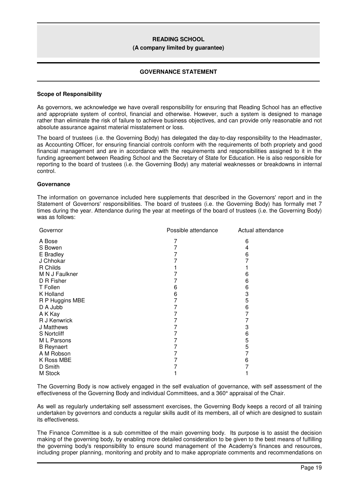#### **(A company limited by guarantee)**

### **GOVERNANCE STATEMENT**

#### **Scope of Responsibility**

As governors, we acknowledge we have overall responsibility for ensuring that Reading School has an effective and appropriate system of control, financial and otherwise. However, such a system is designed to manage rather than eliminate the risk of failure to achieve business objectives, and can provide only reasonable and not absolute assurance against material misstatement or loss.

The board of trustees (i.e. the Governing Body) has delegated the day-to-day responsibility to the Headmaster, as Accounting Officer, for ensuring financial controls conform with the requirements of both propriety and good financial management and are in accordance with the requirements and responsibilities assigned to it in the funding agreement between Reading School and the Secretary of State for Education. He is also responsible for reporting to the board of trustees (i.e. the Governing Body) any material weaknesses or breakdowns in internal control.

#### **Governance**

The information on governance included here supplements that described in the Governors' report and in the Statement of Governors' responsibilities. The board of trustees (i.e. the Governing Body) has formally met 7 times during the year. Attendance during the year at meetings of the board of trustees (i.e. the Governing Body) was as follows:

| Governor          | Possible attendance | Actual attendance |
|-------------------|---------------------|-------------------|
| A Bose            |                     | 6                 |
| S Bowen           |                     |                   |
| E Bradley         |                     | 6                 |
| J Chhokar         |                     |                   |
| R Childs          |                     |                   |
| M N J Faulkner    |                     | 6                 |
| D R Fisher        |                     | 6                 |
| T Follen          | 6                   | 6                 |
| K Holland         | 6                   | 3                 |
| R P Huggins MBE   | 7                   | 5                 |
| D A Jubb          |                     | 6                 |
| A K Kay           |                     |                   |
| R J Kenwrick      |                     |                   |
| J Matthews        |                     | 3                 |
| S Nortcliff       |                     | 6                 |
| M L Parsons       |                     | 5                 |
| <b>B</b> Reynaert |                     | 5                 |
| A M Robson        |                     |                   |
| K Ross MBE        |                     | 6                 |
| D Smith           |                     |                   |
| M Stock           |                     |                   |

The Governing Body is now actively engaged in the self evaluation of governance, with self assessment of the effectiveness of the Governing Body and individual Committees, and a 360° appraisal of the Chair.

As well as regularly undertaking self assessment exercises, the Governing Body keeps a record of all training undertaken by governors and conducts a regular skills audit of its members, all of which are designed to sustain its effectiveness.

The Finance Committee is a sub committee of the main governing body. Its purpose is to assist the decision making of the governing body, by enabling more detailed consideration to be given to the best means of fulfilling the governing body's responsibility to ensure sound management of the Academy's finances and resources, including proper planning, monitoring and probity and to make appropriate comments and recommendations on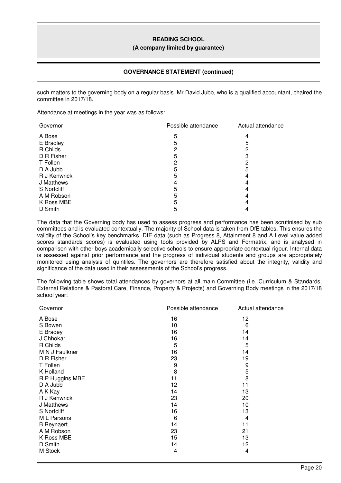### **(A company limited by guarantee)**

# **GOVERNANCE STATEMENT (continued)**

such matters to the governing body on a regular basis. Mr David Jubb, who is a qualified accountant, chaired the committee in 2017/18.

Attendance at meetings in the year was as follows:

| Governor     | Possible attendance | Actual attendance |
|--------------|---------------------|-------------------|
| A Bose       | 5                   |                   |
| E Bradley    | 5                   | 5                 |
| R Childs     |                     |                   |
| D R Fisher   |                     | З                 |
| T Follen     |                     |                   |
| D A Jubb     |                     | 5                 |
| R J Kenwrick |                     |                   |
| J Matthews   |                     |                   |
| S Nortcliff  | 5                   |                   |
| A M Robson   |                     |                   |
| K Ross MBE   |                     |                   |
| D Smith      |                     |                   |

The data that the Governing body has used to assess progress and performance has been scrutinised by sub committees and is evaluated contextually. The majority of School data is taken from DfE tables. This ensures the validity of the School's key benchmarks. DfE data (such as Progress 8, Attainment 8 and A Level value added scores standards scores) is evaluated using tools provided by ALPS and Formatrix, and is analysed in comparison with other boys academically selective schools to ensure appropriate contextual rigour. Internal data is assessed against prior performance and the progress of individual students and groups are appropriately monitored using analysis of quintiles. The governors are therefore satisfied about the integrity, validity and significance of the data used in their assessments of the School's progress.

The following table shows total attendances by governors at all main Committee (i.e. Curriculum & Standards, External Relations & Pastoral Care, Finance, Property & Projects) and Governing Body meetings in the 2017/18 school year:

| Governor          | Possible attendance | Actual attendance |
|-------------------|---------------------|-------------------|
| A Bose            | 16                  | 12                |
| S Bowen           | 10                  | 6                 |
| E Bradey          | 16                  | 14                |
| J Chhokar         | 16                  | 14                |
| R Childs          | 5                   | 5                 |
| M N J Faulkner    | 16                  | 14                |
| D R Fisher        | 23                  | 19                |
| T Follen          | 9                   | 9                 |
| K Holland         | 8                   | 5                 |
| R P Huggins MBE   | 11                  | 8                 |
| D A Jubb          | 12                  | 11                |
| A K Kay           | 14                  | 13                |
| R J Kenwrick      | 23                  | 20                |
| J Matthews        | 14                  | 10                |
| S Nortcliff       | 16                  | 13                |
| M L Parsons       | 6                   | 4                 |
| <b>B</b> Reynaert | 14                  | 11                |
| A M Robson        | 23                  | 21                |
| K Ross MBE        | 15                  | 13                |
| D Smith           | 14                  | 12                |
| M Stock           | 4                   | 4                 |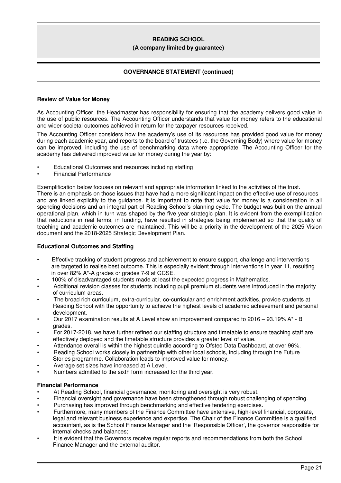#### **(A company limited by guarantee)**

# **GOVERNANCE STATEMENT (continued)**

#### **Review of Value for Money**

As Accounting Officer, the Headmaster has responsibility for ensuring that the academy delivers good value in the use of public resources. The Accounting Officer understands that value for money refers to the educational and wider societal outcomes achieved in return for the taxpayer resources received.

The Accounting Officer considers how the academy's use of its resources has provided good value for money during each academic year, and reports to the board of trustees (i.e. the Governing Body) where value for money can be improved, including the use of benchmarking data where appropriate. The Accounting Officer for the academy has delivered improved value for money during the year by:

- Educational Outcomes and resources including staffing
- Financial Performance

Exemplification below focuses on relevant and appropriate information linked to the activities of the trust.

There is an emphasis on those issues that have had a more significant impact on the effective use of resources and are linked explicitly to the guidance. It is important to note that value for money is a consideration in all spending decisions and an integral part of Reading School's planning cycle. The budget was built on the annual operational plan, which in turn was shaped by the five year strategic plan. It is evident from the exemplification that reductions in real terms, in funding, have resulted in strategies being implemented so that the quality of teaching and academic outcomes are maintained. This will be a priority in the development of the 2025 Vision document and the 2018-2025 Strategic Development Plan.

# **Educational Outcomes and Staffing**

- Effective tracking of student progress and achievement to ensure support, challenge and interventions are targeted to realise best outcome. This is especially evident through interventions in year 11, resulting in over 82% A\*-A grades or grades 7-9 at GCSE.
- 100% of disadvantaged students made at least the expected progress in Mathematics.
- Additional revision classes for students including pupil premium students were introduced in the majority of curriculum areas.
- The broad rich curriculum, extra-curricular, co-curricular and enrichment activities, provide students at Reading School with the opportunity to achieve the highest levels of academic achievement and personal development.
- Our 2017 examination results at A Level show an improvement compared to 2016 93.19% A\* B grades.
- For 2017-2018, we have further refined our staffing structure and timetable to ensure teaching staff are effectively deployed and the timetable structure provides a greater level of value.
- Attendance overall is within the highest quintile according to Ofsted Data Dashboard, at over 96%.
- Reading School works closely in partnership with other local schools, including through the Future Stories programme. Collaboration leads to improved value for money.
- Average set sizes have increased at A Level.
- Numbers admitted to the sixth form increased for the third year.

#### **Financial Performance**

- At Reading School, financial governance, monitoring and oversight is very robust.
- Financial oversight and governance have been strengthened through robust challenging of spending.
- Purchasing has improved through benchmarking and effective tendering exercises.
- Furthermore, many members of the Finance Committee have extensive, high-level financial, corporate, legal and relevant business experience and expertise. The Chair of the Finance Committee is a qualified accountant, as is the School Finance Manager and the 'Responsible Officer', the governor responsible for internal checks and balances;
- It is evident that the Governors receive regular reports and recommendations from both the School Finance Manager and the external auditor.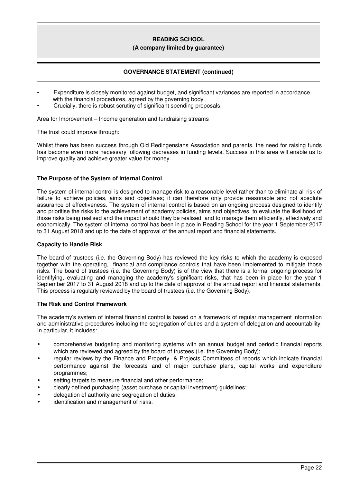#### **(A company limited by guarantee)**

# **GOVERNANCE STATEMENT (continued)**

- Expenditure is closely monitored against budget, and significant variances are reported in accordance with the financial procedures, agreed by the governing body.
	- Crucially, there is robust scrutiny of significant spending proposals.

Area for Improvement – Income generation and fundraising streams

The trust could improve through:

Whilst there has been success through Old Redingensians Association and parents, the need for raising funds has become even more necessary following decreases in funding levels. Success in this area will enable us to improve quality and achieve greater value for money.

# **The Purpose of the System of Internal Control**

The system of internal control is designed to manage risk to a reasonable level rather than to eliminate all risk of failure to achieve policies, aims and objectives; it can therefore only provide reasonable and not absolute assurance of effectiveness. The system of internal control is based on an ongoing process designed to identify and prioritise the risks to the achievement of academy policies, aims and objectives, to evaluate the likelihood of those risks being realised and the impact should they be realised, and to manage them efficiently, effectively and economically. The system of internal control has been in place in Reading School for the year 1 September 2017 to 31 August 2018 and up to the date of approval of the annual report and financial statements.

### **Capacity to Handle Risk**

The board of trustees (i.e. the Governing Body) has reviewed the key risks to which the academy is exposed together with the operating, financial and compliance controls that have been implemented to mitigate those risks. The board of trustees (i.e. the Governing Body) is of the view that there is a formal ongoing process for identifying, evaluating and managing the academy's significant risks, that has been in place for the year 1 September 2017 to 31 August 2018 and up to the date of approval of the annual report and financial statements. This process is regularly reviewed by the board of trustees (i.e. the Governing Body).

# **The Risk and Control Framework**

The academy's system of internal financial control is based on a framework of regular management information and administrative procedures including the segregation of duties and a system of delegation and accountability. In particular, it includes:

- comprehensive budgeting and monitoring systems with an annual budget and periodic financial reports which are reviewed and agreed by the board of trustees (i.e. the Governing Body);
- regular reviews by the Finance and Property & Projects Committees of reports which indicate financial performance against the forecasts and of major purchase plans, capital works and expenditure programmes;
- setting targets to measure financial and other performance;
- clearly defined purchasing (asset purchase or capital investment) guidelines;
- delegation of authority and segregation of duties;
- identification and management of risks.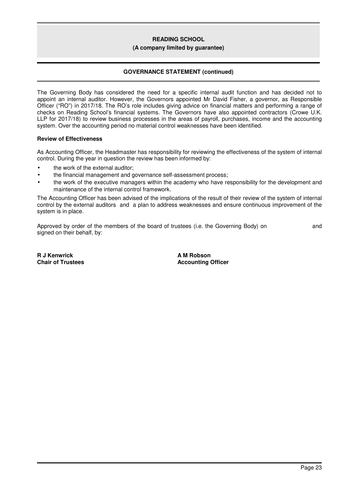#### **(A company limited by guarantee)**

# **GOVERNANCE STATEMENT (continued)**

The Governing Body has considered the need for a specific internal audit function and has decided not to appoint an internal auditor. However, the Governors appointed Mr David Fisher, a governor, as Responsible Officer ("RO") in 2017/18. The RO's role includes giving advice on financial matters and performing a range of checks on Reading School's financial systems. The Governors have also appointed contractors (Crowe U.K. LLP for 2017/18) to review business processes in the areas of payroll, purchases, income and the accounting system. Over the accounting period no material control weaknesses have been identified.

#### **Review of Effectiveness**

As Accounting Officer, the Headmaster has responsibility for reviewing the effectiveness of the system of internal control. During the year in question the review has been informed by:

- the work of the external auditor;
- the financial management and governance self-assessment process;
- the work of the executive managers within the academy who have responsibility for the development and maintenance of the internal control framework.

The Accounting Officer has been advised of the implications of the result of their review of the system of internal control by the external auditors and a plan to address weaknesses and ensure continuous improvement of the system is in place.

Approved by order of the members of the board of trustees (i.e. the Governing Body) on and signed on their behalf, by:

**R J Kenwrick Chair of Trustees** **A M Robson Accounting Officer**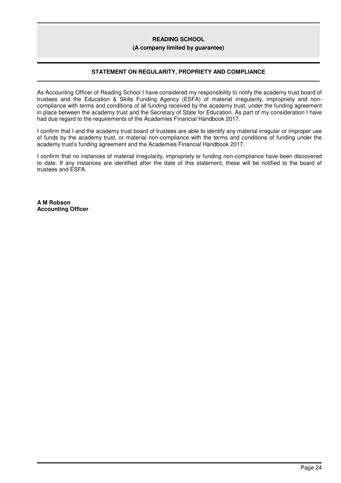#### **(A company limited by guarantee)**

# **STATEMENT ON REGULARITY, PROPRIETY AND COMPLIANCE**

As Accounting Officer of Reading School I have considered my responsibility to notify the academy trust board of trustees and the Education & Skills Funding Agency (ESFA) of material irregularity, impropriety and noncompliance with terms and conditions of all funding received by the academy trust, under the funding agreement in place between the academy trust and the Secretary of State for Education. As part of my consideration I have had due regard to the requirements of the Academies Financial Handbook 2017.

I confirm that I and the academy trust board of trustees are able to identify any material irregular or improper use of funds by the academy trust, or material non-compliance with the terms and conditions of funding under the academy trust's funding agreement and the Academies Financial Handbook 2017.

I confirm that no instances of material irregularity, impropriety or funding non-compliance have been discovered to date. If any instances are identified after the date of this statement, these will be notified to the board of trustees and ESFA.

**A M Robson Accounting Officer**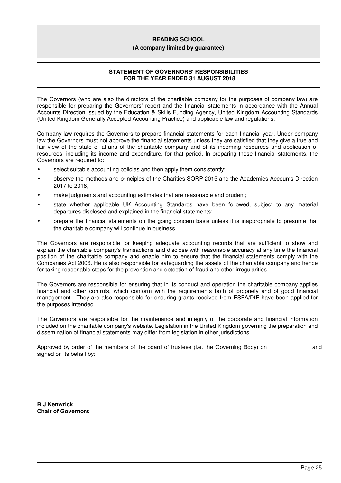#### **(A company limited by guarantee)**

# **STATEMENT OF GOVERNORS' RESPONSIBILITIES FOR THE YEAR ENDED 31 AUGUST 2018**

The Governors (who are also the directors of the charitable company for the purposes of company law) are responsible for preparing the Governors' report and the financial statements in accordance with the Annual Accounts Direction issued by the Education & Skills Funding Agency, United Kingdom Accounting Standards (United Kingdom Generally Accepted Accounting Practice) and applicable law and regulations.

Company law requires the Governors to prepare financial statements for each financial year. Under company law the Governors must not approve the financial statements unless they are satisfied that they give a true and fair view of the state of affairs of the charitable company and of its incoming resources and application of resources, including its income and expenditure, for that period. In preparing these financial statements, the Governors are required to:

- select suitable accounting policies and then apply them consistently;
- observe the methods and principles of the Charities SORP 2015 and the Academies Accounts Direction 2017 to 2018;
- make judgments and accounting estimates that are reasonable and prudent;
- state whether applicable UK Accounting Standards have been followed, subject to any material departures disclosed and explained in the financial statements;
- prepare the financial statements on the going concern basis unless it is inappropriate to presume that the charitable company will continue in business.

The Governors are responsible for keeping adequate accounting records that are sufficient to show and explain the charitable company's transactions and disclose with reasonable accuracy at any time the financial position of the charitable company and enable him to ensure that the financial statements comply with the Companies Act 2006. He is also responsible for safeguarding the assets of the charitable company and hence for taking reasonable steps for the prevention and detection of fraud and other irregularities.

The Governors are responsible for ensuring that in its conduct and operation the charitable company applies financial and other controls, which conform with the requirements both of propriety and of good financial management. They are also responsible for ensuring grants received from ESFA/DfE have been applied for the purposes intended.

The Governors are responsible for the maintenance and integrity of the corporate and financial information included on the charitable company's website. Legislation in the United Kingdom governing the preparation and dissemination of financial statements may differ from legislation in other jurisdictions.

Approved by order of the members of the board of trustees (i.e. the Governing Body) on and signed on its behalf by:

**R J Kenwrick Chair of Governors**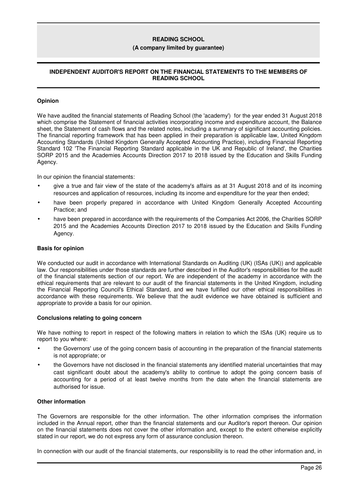#### **(A company limited by guarantee)**

# **INDEPENDENT AUDITOR'S REPORT ON THE FINANCIAL STATEMENTS TO THE MEMBERS OF READING SCHOOL**

# **Opinion**

We have audited the financial statements of Reading School (the 'academy') for the year ended 31 August 2018 which comprise the Statement of financial activities incorporating income and expenditure account, the Balance sheet, the Statement of cash flows and the related notes, including a summary of significant accounting policies. The financial reporting framework that has been applied in their preparation is applicable law, United Kingdom Accounting Standards (United Kingdom Generally Accepted Accounting Practice), including Financial Reporting Standard 102 'The Financial Reporting Standard applicable in the UK and Republic of Ireland', the Charities SORP 2015 and the Academies Accounts Direction 2017 to 2018 issued by the Education and Skills Funding Agency.

In our opinion the financial statements:

- give a true and fair view of the state of the academy's affairs as at 31 August 2018 and of its incoming resources and application of resources, including its income and expenditure for the year then ended;
- have been properly prepared in accordance with United Kingdom Generally Accepted Accounting Practice; and
- have been prepared in accordance with the requirements of the Companies Act 2006, the Charities SORP 2015 and the Academies Accounts Direction 2017 to 2018 issued by the Education and Skills Funding Agency.

# **Basis for opinion**

We conducted our audit in accordance with International Standards on Auditing (UK) (ISAs (UK)) and applicable law. Our responsibilities under those standards are further described in the Auditor's responsibilities for the audit of the financial statements section of our report. We are independent of the academy in accordance with the ethical requirements that are relevant to our audit of the financial statements in the United Kingdom, including the Financial Reporting Council's Ethical Standard, and we have fulfilled our other ethical responsibilities in accordance with these requirements. We believe that the audit evidence we have obtained is sufficient and appropriate to provide a basis for our opinion.

#### **Conclusions relating to going concern**

We have nothing to report in respect of the following matters in relation to which the ISAs (UK) require us to report to you where:

- the Governors' use of the going concern basis of accounting in the preparation of the financial statements is not appropriate; or
- the Governors have not disclosed in the financial statements any identified material uncertainties that may cast significant doubt about the academy's ability to continue to adopt the going concern basis of accounting for a period of at least twelve months from the date when the financial statements are authorised for issue.

# **Other information**

The Governors are responsible for the other information. The other information comprises the information included in the Annual report, other than the financial statements and our Auditor's report thereon. Our opinion on the financial statements does not cover the other information and, except to the extent otherwise explicitly stated in our report, we do not express any form of assurance conclusion thereon.

In connection with our audit of the financial statements, our responsibility is to read the other information and, in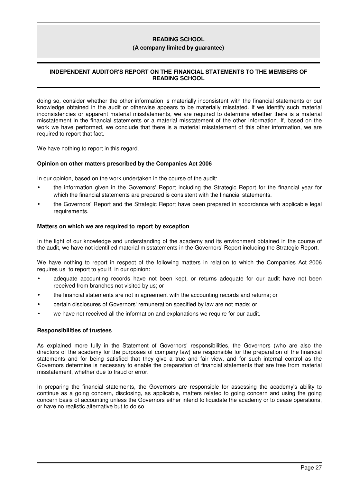#### **(A company limited by guarantee)**

# **INDEPENDENT AUDITOR'S REPORT ON THE FINANCIAL STATEMENTS TO THE MEMBERS OF READING SCHOOL**

doing so, consider whether the other information is materially inconsistent with the financial statements or our knowledge obtained in the audit or otherwise appears to be materially misstated. If we identify such material inconsistencies or apparent material misstatements, we are required to determine whether there is a material misstatement in the financial statements or a material misstatement of the other information. If, based on the work we have performed, we conclude that there is a material misstatement of this other information, we are required to report that fact.

We have nothing to report in this regard.

# **Opinion on other matters prescribed by the Companies Act 2006**

In our opinion, based on the work undertaken in the course of the audit:

- the information given in the Governors' Report including the Strategic Report for the financial year for which the financial statements are prepared is consistent with the financial statements.
- the Governors' Report and the Strategic Report have been prepared in accordance with applicable legal requirements.

#### **Matters on which we are required to report by exception**

In the light of our knowledge and understanding of the academy and its environment obtained in the course of the audit, we have not identified material misstatements in the Governors' Report including the Strategic Report.

We have nothing to report in respect of the following matters in relation to which the Companies Act 2006 requires us to report to you if, in our opinion:

- adequate accounting records have not been kept, or returns adequate for our audit have not been received from branches not visited by us; or
- the financial statements are not in agreement with the accounting records and returns; or
- certain disclosures of Governors' remuneration specified by law are not made; or
- we have not received all the information and explanations we require for our audit.

#### **Responsibilities of trustees**

As explained more fully in the Statement of Governors' responsibilities, the Governors (who are also the directors of the academy for the purposes of company law) are responsible for the preparation of the financial statements and for being satisfied that they give a true and fair view, and for such internal control as the Governors determine is necessary to enable the preparation of financial statements that are free from material misstatement, whether due to fraud or error.

In preparing the financial statements, the Governors are responsible for assessing the academy's ability to continue as a going concern, disclosing, as applicable, matters related to going concern and using the going concern basis of accounting unless the Governors either intend to liquidate the academy or to cease operations, or have no realistic alternative but to do so.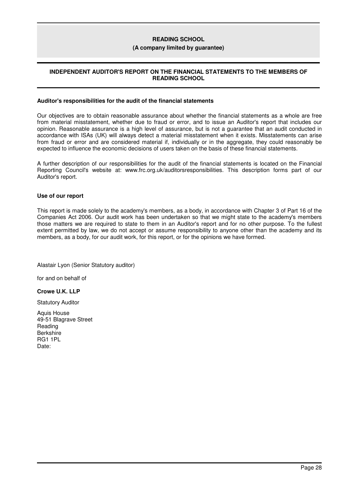#### **(A company limited by guarantee)**

# **INDEPENDENT AUDITOR'S REPORT ON THE FINANCIAL STATEMENTS TO THE MEMBERS OF READING SCHOOL**

#### **Auditor's responsibilities for the audit of the financial statements**

Our objectives are to obtain reasonable assurance about whether the financial statements as a whole are free from material misstatement, whether due to fraud or error, and to issue an Auditor's report that includes our opinion. Reasonable assurance is a high level of assurance, but is not a guarantee that an audit conducted in accordance with ISAs (UK) will always detect a material misstatement when it exists. Misstatements can arise from fraud or error and are considered material if, individually or in the aggregate, they could reasonably be expected to influence the economic decisions of users taken on the basis of these financial statements.

A further description of our responsibilities for the audit of the financial statements is located on the Financial Reporting Council's website at: www.frc.org.uk/auditorsresponsibilities. This description forms part of our Auditor's report.

#### **Use of our report**

This report is made solely to the academy's members, as a body, in accordance with Chapter 3 of Part 16 of the Companies Act 2006. Our audit work has been undertaken so that we might state to the academy's members those matters we are required to state to them in an Auditor's report and for no other purpose. To the fullest extent permitted by law, we do not accept or assume responsibility to anyone other than the academy and its members, as a body, for our audit work, for this report, or for the opinions we have formed.

Alastair Lyon (Senior Statutory auditor)

for and on behalf of

# **Crowe U.K. LLP**

Statutory Auditor

Aquis House 49-51 Blagrave Street Reading Berkshire RG1 1PL Date: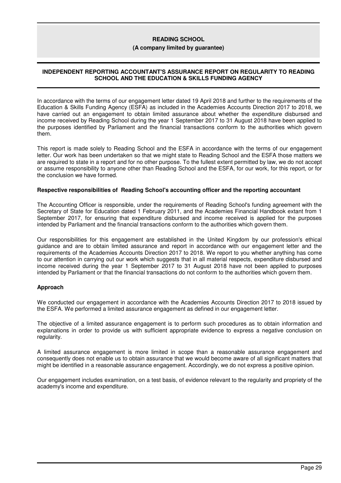#### **(A company limited by guarantee)**

# **INDEPENDENT REPORTING ACCOUNTANT'S ASSURANCE REPORT ON REGULARITY TO READING SCHOOL AND THE EDUCATION & SKILLS FUNDING AGENCY**

In accordance with the terms of our engagement letter dated 19 April 2018 and further to the requirements of the Education & Skills Funding Agency (ESFA) as included in the Academies Accounts Direction 2017 to 2018, we have carried out an engagement to obtain limited assurance about whether the expenditure disbursed and income received by Reading School during the year 1 September 2017 to 31 August 2018 have been applied to the purposes identified by Parliament and the financial transactions conform to the authorities which govern them.

This report is made solely to Reading School and the ESFA in accordance with the terms of our engagement letter. Our work has been undertaken so that we might state to Reading School and the ESFA those matters we are required to state in a report and for no other purpose. To the fullest extent permitted by law, we do not accept or assume responsibility to anyone other than Reading School and the ESFA, for our work, for this report, or for the conclusion we have formed.

#### **Respective responsibilities of Reading School's accounting officer and the reporting accountant**

The Accounting Officer is responsible, under the requirements of Reading School's funding agreement with the Secretary of State for Education dated 1 February 2011, and the Academies Financial Handbook extant from 1 September 2017, for ensuring that expenditure disbursed and income received is applied for the purposes intended by Parliament and the financial transactions conform to the authorities which govern them.

Our responsibilities for this engagement are established in the United Kingdom by our profession's ethical guidance and are to obtain limited assurance and report in accordance with our engagement letter and the requirements of the Academies Accounts Direction 2017 to 2018. We report to you whether anything has come to our attention in carrying out our work which suggests that in all material respects, expenditure disbursed and income received during the year 1 September 2017 to 31 August 2018 have not been applied to purposes intended by Parliament or that the financial transactions do not conform to the authorities which govern them.

# **Approach**

We conducted our engagement in accordance with the Academies Accounts Direction 2017 to 2018 issued by the ESFA. We performed a limited assurance engagement as defined in our engagement letter.

The objective of a limited assurance engagement is to perform such procedures as to obtain information and explanations in order to provide us with sufficient appropriate evidence to express a negative conclusion on regularity.

A limited assurance engagement is more limited in scope than a reasonable assurance engagement and consequently does not enable us to obtain assurance that we would become aware of all significant matters that might be identified in a reasonable assurance engagement. Accordingly, we do not express a positive opinion.

Our engagement includes examination, on a test basis, of evidence relevant to the regularity and propriety of the academy's income and expenditure.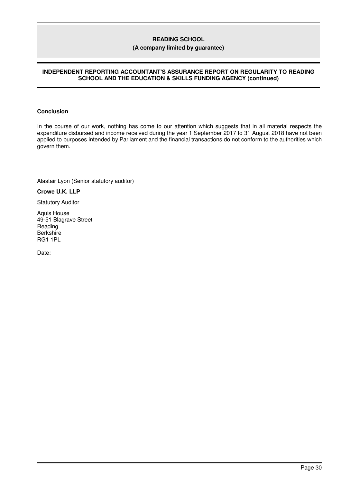# **(A company limited by guarantee)**

# **INDEPENDENT REPORTING ACCOUNTANT'S ASSURANCE REPORT ON REGULARITY TO READING SCHOOL AND THE EDUCATION & SKILLS FUNDING AGENCY (continued)**

### **Conclusion**

In the course of our work, nothing has come to our attention which suggests that in all material respects the expenditure disbursed and income received during the year 1 September 2017 to 31 August 2018 have not been applied to purposes intended by Parliament and the financial transactions do not conform to the authorities which govern them.

Alastair Lyon (Senior statutory auditor)

**Crowe U.K. LLP**

Statutory Auditor

Aquis House 49-51 Blagrave Street Reading **Berkshire** RG1 1PL

Date: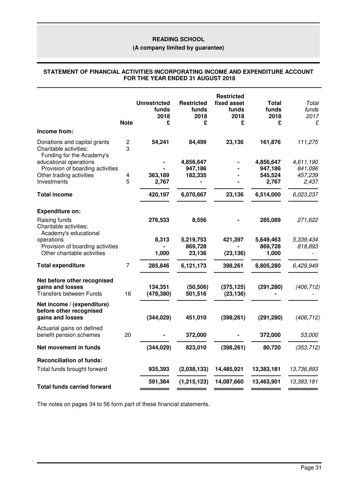# **(A company limited by guarantee)**

#### **STATEMENT OF FINANCIAL ACTIVITIES INCORPORATING INCOME AND EXPENDITURE ACCOUNT FOR THE YEAR ENDED 31 AUGUST 2018**

|                                                                                     | <b>Note</b>                  | <b>Unrestricted</b><br>funds<br>2018<br>£ | <b>Restricted</b><br>funds<br>2018<br>£ | <b>Restricted</b><br>fixed asset<br>funds<br>2018<br>£ | <b>Total</b><br>funds<br>2018<br>£ | Total<br>funds<br>2017<br>£ |
|-------------------------------------------------------------------------------------|------------------------------|-------------------------------------------|-----------------------------------------|--------------------------------------------------------|------------------------------------|-----------------------------|
| Income from:                                                                        |                              |                                           |                                         |                                                        |                                    |                             |
| Donations and capital grants<br>Charitable activities:<br>Funding for the Academy's | $\overline{\mathbf{c}}$<br>3 | 54,241                                    | 84,499                                  | 23,136                                                 | 161,876                            | 111,275                     |
| educational operations                                                              |                              |                                           | 4,856,647                               |                                                        | 4,856,647                          | 4,611,190                   |
| Provision of boarding activities                                                    |                              |                                           | 947,186                                 |                                                        | 947,186                            | 841,096                     |
| Other trading activities                                                            | $\overline{\mathbf{4}}$      | 363,189                                   | 182,335                                 |                                                        | 545,524                            | 457,239                     |
| Investments                                                                         | 5                            | 2,767                                     |                                         |                                                        | 2,767                              | 2,437                       |
| <b>Total income</b>                                                                 |                              | 420,197                                   | 6,070,667                               | 23,136                                                 | 6,514,000                          | 6,023,237                   |
| <b>Expenditure on:</b>                                                              |                              |                                           |                                         |                                                        |                                    |                             |
| Raising funds<br>Charitable activities:<br>Academy's educational                    |                              | 276,533                                   | 8,556                                   |                                                        | 285,089                            | 271,622                     |
| operations<br>Provision of boarding activities                                      |                              | 8,313                                     | 5,219,753<br>869,728                    | 421,397                                                | 5,649,463<br>869,728               | 5,339,434<br>818,893        |
| Other charitable activities                                                         |                              | 1,000                                     | 23,136                                  | (23, 136)                                              | 1,000                              |                             |
| <b>Total expenditure</b>                                                            | $\overline{7}$               | 285,846                                   | 6,121,173                               | 398,261                                                | 6,805,280                          | 6,429,949                   |
| Net before other recognised<br>gains and losses<br><b>Transfers between Funds</b>   | 16                           | 134,351<br>(478, 380)                     | (50, 506)<br>501,516                    | (375, 125)<br>(23, 136)                                | (291, 280)                         | (406, 712)                  |
| Net income / (expenditure)<br>before other recognised<br>gains and losses           |                              | (344, 029)                                | 451,010                                 | (398, 261)                                             | (291, 280)                         | (406, 712)                  |
| Actuarial gains on defined<br>benefit pension schemes                               | 20                           |                                           | 372,000                                 |                                                        | 372,000                            | 53,000                      |
| Net movement in funds                                                               |                              | (344, 029)                                | 823,010                                 | (398, 261)                                             | 80,720                             | (353, 712)                  |
| <b>Reconciliation of funds:</b><br>Total funds brought forward                      |                              | 935,393                                   | (2,038,133)                             | 14,485,921                                             | 13,383,181                         | 13,736,893                  |
|                                                                                     |                              | 591,364                                   | (1, 215, 123)                           | 14,087,660                                             | 13,463,901                         | 13,383,181                  |
| <b>Total funds carried forward</b>                                                  |                              |                                           |                                         |                                                        |                                    |                             |

The notes on pages 34 to 56 form part of these financial statements.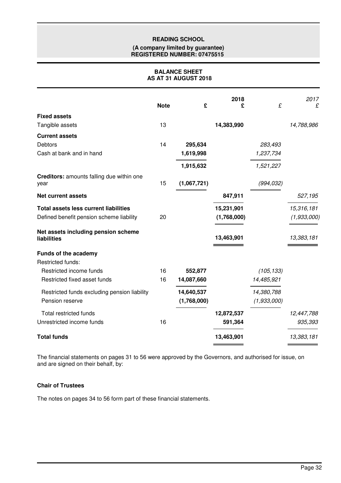### **(A company limited by guarantee) REGISTERED NUMBER: 07475515**

# **BALANCE SHEET AS AT 31 AUGUST 2018**

|                                                    | <b>Note</b> | £           | 2018<br>£   | £           | 2017<br>£   |
|----------------------------------------------------|-------------|-------------|-------------|-------------|-------------|
| <b>Fixed assets</b>                                |             |             |             |             |             |
| Tangible assets                                    | 13          |             | 14,383,990  |             | 14,788,986  |
| <b>Current assets</b>                              |             |             |             |             |             |
| Debtors                                            | 14          | 295,634     |             | 283,493     |             |
| Cash at bank and in hand                           |             | 1,619,998   |             | 1,237,734   |             |
|                                                    |             | 1,915,632   |             | 1,521,227   |             |
| Creditors: amounts falling due within one<br>year  | 15          | (1,067,721) |             | (994, 032)  |             |
| <b>Net current assets</b>                          |             |             | 847,911     |             | 527,195     |
| <b>Total assets less current liabilities</b>       |             |             | 15,231,901  |             | 15,316,181  |
| Defined benefit pension scheme liability           | 20          |             | (1,768,000) |             | (1,933,000) |
| Net assets including pension scheme<br>liabilities |             |             | 13,463,901  |             | 13,383,181  |
| <b>Funds of the academy</b>                        |             |             |             |             |             |
| <b>Restricted funds:</b>                           |             |             |             |             |             |
| Restricted income funds                            | 16          | 552,877     |             | (105, 133)  |             |
| Restricted fixed asset funds                       | 16          | 14,087,660  |             | 14,485,921  |             |
| Restricted funds excluding pension liability       |             | 14,640,537  |             | 14,380,788  |             |
| Pension reserve                                    |             | (1,768,000) |             | (1,933,000) |             |
| Total restricted funds                             |             |             | 12,872,537  |             | 12,447,788  |
| Unrestricted income funds                          | 16          |             | 591,364     |             | 935,393     |
| <b>Total funds</b>                                 |             |             | 13,463,901  |             | 13,383,181  |

The financial statements on pages 31 to 56 were approved by the Governors, and authorised for issue, on and are signed on their behalf, by:

# **Chair of Trustees**

The notes on pages 34 to 56 form part of these financial statements.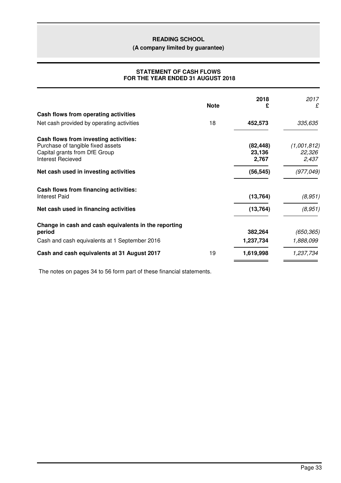**(A company limited by guarantee)**

# **STATEMENT OF CASH FLOWS FOR THE YEAR ENDED 31 AUGUST 2018**

|                                                                                                                                  | <b>Note</b> | 2018<br>£                    | 2017<br>£                      |
|----------------------------------------------------------------------------------------------------------------------------------|-------------|------------------------------|--------------------------------|
| Cash flows from operating activities                                                                                             |             |                              |                                |
| Net cash provided by operating activities                                                                                        | 18          | 452,573                      | 335,635                        |
| Cash flows from investing activities:<br>Purchase of tangible fixed assets<br>Capital grants from DfE Group<br>Interest Recieved |             | (82, 448)<br>23,136<br>2,767 | (1,001,812)<br>22,326<br>2,437 |
| Net cash used in investing activities                                                                                            |             | (56, 545)                    | (977, 049)                     |
| Cash flows from financing activities:<br><b>Interest Paid</b>                                                                    |             | (13, 764)                    | (8,951)                        |
| Net cash used in financing activities                                                                                            |             | (13, 764)                    | (8,951)                        |
| Change in cash and cash equivalents in the reporting<br>period                                                                   |             | 382,264                      | (650, 365)                     |
| Cash and cash equivalents at 1 September 2016                                                                                    |             | 1,237,734                    | 1,888,099                      |
| Cash and cash equivalents at 31 August 2017                                                                                      | 19          | 1,619,998                    | 1,237,734                      |

The notes on pages 34 to 56 form part of these financial statements.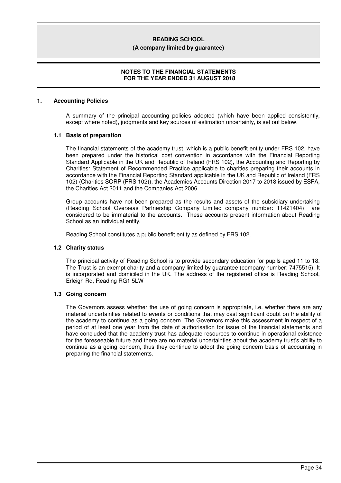#### **(A company limited by guarantee)**

# **NOTES TO THE FINANCIAL STATEMENTS FOR THE YEAR ENDED 31 AUGUST 2018**

### **1. Accounting Policies**

A summary of the principal accounting policies adopted (which have been applied consistently, except where noted), judgments and key sources of estimation uncertainty, is set out below.

### **1.1 Basis of preparation**

The financial statements of the academy trust, which is a public benefit entity under FRS 102, have been prepared under the historical cost convention in accordance with the Financial Reporting Standard Applicable in the UK and Republic of Ireland (FRS 102), the Accounting and Reporting by Charities: Statement of Recommended Practice applicable to charities preparing their accounts in accordance with the Financial Reporting Standard applicable in the UK and Republic of Ireland (FRS 102) (Charities SORP (FRS 102)), the Academies Accounts Direction 2017 to 2018 issued by ESFA, the Charities Act 2011 and the Companies Act 2006.

Group accounts have not been prepared as the results and assets of the subsidiary undertaking (Reading School Overseas Partnership Company Limited company number: 11421404) are considered to be immaterial to the accounts. These accounts present information about Reading School as an individual entity.

Reading School constitutes a public benefit entity as defined by FRS 102.

#### **1.2 Charity status**

The principal activity of Reading School is to provide secondary education for pupils aged 11 to 18. The Trust is an exempt charity and a company limited by guarantee (company number: 7475515). It is incorporated and domiciled in the UK. The address of the registered office is Reading School, Erleigh Rd, Reading RG1 5LW

# **1.3 Going concern**

The Governors assess whether the use of going concern is appropriate, i.e. whether there are any material uncertainties related to events or conditions that may cast significant doubt on the ability of the academy to continue as a going concern. The Governors make this assessment in respect of a period of at least one year from the date of authorisation for issue of the financial statements and have concluded that the academy trust has adequate resources to continue in operational existence for the foreseeable future and there are no material uncertainties about the academy trust's ability to continue as a going concern, thus they continue to adopt the going concern basis of accounting in preparing the financial statements.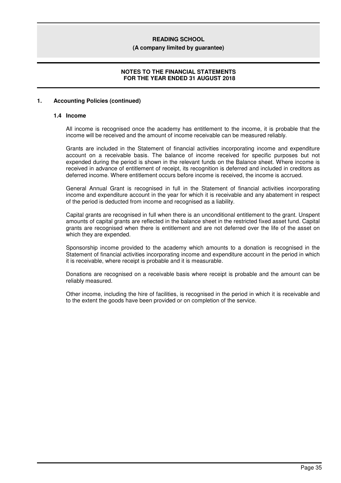#### **(A company limited by guarantee)**

# **NOTES TO THE FINANCIAL STATEMENTS FOR THE YEAR ENDED 31 AUGUST 2018**

# **1. Accounting Policies (continued)**

#### **1.4 Income**

All income is recognised once the academy has entitlement to the income, it is probable that the income will be received and the amount of income receivable can be measured reliably.

Grants are included in the Statement of financial activities incorporating income and expenditure account on a receivable basis. The balance of income received for specific purposes but not expended during the period is shown in the relevant funds on the Balance sheet. Where income is received in advance of entitlement of receipt, its recognition is deferred and included in creditors as deferred income. Where entitlement occurs before income is received, the income is accrued.

General Annual Grant is recognised in full in the Statement of financial activities incorporating income and expenditure account in the year for which it is receivable and any abatement in respect of the period is deducted from income and recognised as a liability.

Capital grants are recognised in full when there is an unconditional entitlement to the grant. Unspent amounts of capital grants are reflected in the balance sheet in the restricted fixed asset fund. Capital grants are recognised when there is entitlement and are not deferred over the life of the asset on which they are expended.

Sponsorship income provided to the academy which amounts to a donation is recognised in the Statement of financial activities incorporating income and expenditure account in the period in which it is receivable, where receipt is probable and it is measurable.

Donations are recognised on a receivable basis where receipt is probable and the amount can be reliably measured.

Other income, including the hire of facilities, is recognised in the period in which it is receivable and to the extent the goods have been provided or on completion of the service.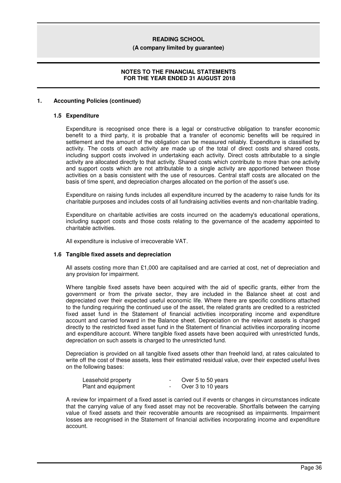#### **(A company limited by guarantee)**

# **NOTES TO THE FINANCIAL STATEMENTS FOR THE YEAR ENDED 31 AUGUST 2018**

### **1. Accounting Policies (continued)**

#### **1.5 Expenditure**

Expenditure is recognised once there is a legal or constructive obligation to transfer economic benefit to a third party, it is probable that a transfer of economic benefits will be required in settlement and the amount of the obligation can be measured reliably. Expenditure is classified by activity. The costs of each activity are made up of the total of direct costs and shared costs, including support costs involved in undertaking each activity. Direct costs attributable to a single activity are allocated directly to that activity. Shared costs which contribute to more than one activity and support costs which are not attributable to a single activity are apportioned between those activities on a basis consistent with the use of resources. Central staff costs are allocated on the basis of time spent, and depreciation charges allocated on the portion of the asset's use.

Expenditure on raising funds includes all expenditure incurred by the academy to raise funds for its charitable purposes and includes costs of all fundraising activities events and non-charitable trading.

Expenditure on charitable activities are costs incurred on the academy's educational operations, including support costs and those costs relating to the governance of the academy appointed to charitable activities.

All expenditure is inclusive of irrecoverable VAT.

#### **1.6 Tangible fixed assets and depreciation**

All assets costing more than £1,000 are capitalised and are carried at cost, net of depreciation and any provision for impairment.

Where tangible fixed assets have been acquired with the aid of specific grants, either from the government or from the private sector, they are included in the Balance sheet at cost and depreciated over their expected useful economic life. Where there are specific conditions attached to the funding requiring the continued use of the asset, the related grants are credited to a restricted fixed asset fund in the Statement of financial activities incorporating income and expenditure account and carried forward in the Balance sheet. Depreciation on the relevant assets is charged directly to the restricted fixed asset fund in the Statement of financial activities incorporating income and expenditure account. Where tangible fixed assets have been acquired with unrestricted funds, depreciation on such assets is charged to the unrestricted fund.

Depreciation is provided on all tangible fixed assets other than freehold land, at rates calculated to write off the cost of these assets, less their estimated residual value, over their expected useful lives on the following bases:

| Leasehold property  | Over 5 to 50 years |
|---------------------|--------------------|
| Plant and equipment | Over 3 to 10 years |

A review for impairment of a fixed asset is carried out if events or changes in circumstances indicate that the carrying value of any fixed asset may not be recoverable. Shortfalls between the carrying value of fixed assets and their recoverable amounts are recognised as impairments. Impairment losses are recognised in the Statement of financial activities incorporating income and expenditure account.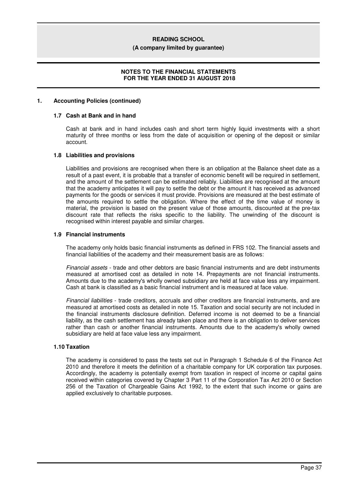#### **(A company limited by guarantee)**

## **NOTES TO THE FINANCIAL STATEMENTS FOR THE YEAR ENDED 31 AUGUST 2018**

#### **1. Accounting Policies (continued)**

#### **1.7 Cash at Bank and in hand**

Cash at bank and in hand includes cash and short term highly liquid investments with a short maturity of three months or less from the date of acquisition or opening of the deposit or similar account.

#### **1.8 Liabilities and provisions**

Liabilities and provisions are recognised when there is an obligation at the Balance sheet date as a result of a past event, it is probable that a transfer of economic benefit will be required in settlement, and the amount of the settlement can be estimated reliably. Liabilities are recognised at the amount that the academy anticipates it will pay to settle the debt or the amount it has received as advanced payments for the goods or services it must provide. Provisions are measured at the best estimate of the amounts required to settle the obligation. Where the effect of the time value of money is material, the provision is based on the present value of those amounts, discounted at the pre-tax discount rate that reflects the risks specific to the liability. The unwinding of the discount is recognised within interest payable and similar charges.

#### **1.9 Financial instruments**

The academy only holds basic financial instruments as defined in FRS 102. The financial assets and financial liabilities of the academy and their measurement basis are as follows:

*Financial assets* - trade and other debtors are basic financial instruments and are debt instruments measured at amortised cost as detailed in note 14. Prepayments are not financial instruments. Amounts due to the academy's wholly owned subsidiary are held at face value less any impairment. Cash at bank is classified as a basic financial instrument and is measured at face value.

*Financial liabilities* - trade creditors, accruals and other creditors are financial instruments, and are measured at amortised costs as detailed in note 15. Taxation and social security are not included in the financial instruments disclosure definition. Deferred income is not deemed to be a financial liability, as the cash settlement has already taken place and there is an obligation to deliver services rather than cash or another financial instruments. Amounts due to the academy's wholly owned subsidiary are held at face value less any impairment.

#### **1.10 Taxation**

The academy is considered to pass the tests set out in Paragraph 1 Schedule 6 of the Finance Act 2010 and therefore it meets the definition of a charitable company for UK corporation tax purposes. Accordingly, the academy is potentially exempt from taxation in respect of income or capital gains received within categories covered by Chapter 3 Part 11 of the Corporation Tax Act 2010 or Section 256 of the Taxation of Chargeable Gains Act 1992, to the extent that such income or gains are applied exclusively to charitable purposes.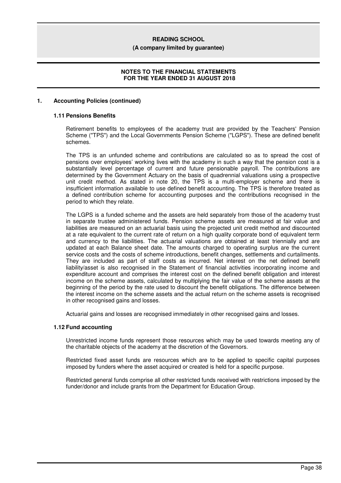#### **(A company limited by guarantee)**

## **NOTES TO THE FINANCIAL STATEMENTS FOR THE YEAR ENDED 31 AUGUST 2018**

#### **1. Accounting Policies (continued)**

#### **1.11 Pensions Benefits**

Retirement benefits to employees of the academy trust are provided by the Teachers' Pension Scheme ("TPS") and the Local Governments Pension Scheme ("LGPS"). These are defined benefit schemes.

The TPS is an unfunded scheme and contributions are calculated so as to spread the cost of pensions over employees' working lives with the academy in such a way that the pension cost is a substantially level percentage of current and future pensionable payroll. The contributions are determined by the Government Actuary on the basis of quadrennial valuations using a prospective unit credit method. As stated in note 20, the TPS is a multi-employer scheme and there is insufficient information available to use defined benefit accounting. The TPS is therefore treated as a defined contribution scheme for accounting purposes and the contributions recognised in the period to which they relate.

The LGPS is a funded scheme and the assets are held separately from those of the academy trust in separate trustee administered funds. Pension scheme assets are measured at fair value and liabilities are measured on an actuarial basis using the projected unit credit method and discounted at a rate equivalent to the current rate of return on a high quality corporate bond of equivalent term and currency to the liabilities. The actuarial valuations are obtained at least triennially and are updated at each Balance sheet date. The amounts charged to operating surplus are the current service costs and the costs of scheme introductions, benefit changes, settlements and curtailments. They are included as part of staff costs as incurred. Net interest on the net defined benefit liability/asset is also recognised in the Statement of financial activities incorporating income and expenditure account and comprises the interest cost on the defined benefit obligation and interest income on the scheme assets, calculated by multiplying the fair value of the scheme assets at the beginning of the period by the rate used to discount the benefit obligations. The difference between the interest income on the scheme assets and the actual return on the scheme assets is recognised in other recognised gains and losses.

Actuarial gains and losses are recognised immediately in other recognised gains and losses.

#### **1.12 Fund accounting**

Unrestricted income funds represent those resources which may be used towards meeting any of the charitable objects of the academy at the discretion of the Governors.

Restricted fixed asset funds are resources which are to be applied to specific capital purposes imposed by funders where the asset acquired or created is held for a specific purpose.

Restricted general funds comprise all other restricted funds received with restrictions imposed by the funder/donor and include grants from the Department for Education Group.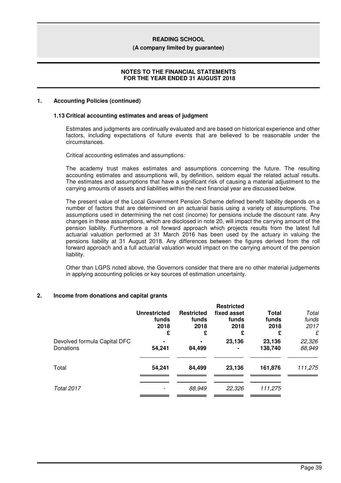#### **(A company limited by guarantee)**

### **NOTES TO THE FINANCIAL STATEMENTS FOR THE YEAR ENDED 31 AUGUST 2018**

#### **1. Accounting Policies (continued)**

#### **1.13 Critical accounting estimates and areas of judgment**

Estimates and judgments are continually evaluated and are based on historical experience and other factors, including expectations of future events that are believed to be reasonable under the circumstances.

Critical accounting estimates and assumptions:

The academy trust makes estimates and assumptions concerning the future. The resulting accounting estimates and assumptions will, by definition, seldom equal the related actual results. The estimates and assumptions that have a significant risk of causing a material adjustment to the carrying amounts of assets and liabilities within the next financial year are discussed below.

The present value of the Local Government Pension Scheme defined benefit liability depends on a number of factors that are determined on an actuarial basis using a variety of assumptions. The assumptions used in determining the net cost (income) for pensions include the discount rate. Any changes in these assumptions, which are disclosed in note 20, will impact the carrying amount of the pension liability. Furthermore a roll forward approach which projects results from the latest full actuarial valuation performed at 31 March 2016 has been used by the actuary in valuing the pensions liability at 31 August 2018. Any differences between the figures derived from the roll forward approach and a full actuarial valuation would impact on the carrying amount of the pension liability.

Other than LGPS noted above, the Governors consider that there are no other material judgements in applying accounting policies or key sources of estimation uncertainty.

# **2. Income from donations and capital grants**

|                                           | <b>Unrestricted</b><br>funds<br>2018<br>£ | <b>Restricted</b><br>funds<br>2018<br>£ | <b>Restricted</b><br>fixed asset<br>funds<br>2018<br>£ | <b>Total</b><br>funds<br>2018<br>£ | Total<br>funds<br>2017<br>£ |
|-------------------------------------------|-------------------------------------------|-----------------------------------------|--------------------------------------------------------|------------------------------------|-----------------------------|
| Devolved formula Capital DFC<br>Donations | 54,241                                    | 84,499                                  | 23,136                                                 | 23,136<br>138,740                  | 22,326<br>88,949            |
| Total                                     | 54,241                                    | 84,499                                  | 23,136                                                 | 161,876                            | 111,275                     |
| <b>Total 2017</b>                         |                                           | 88,949                                  | 22,326                                                 | 111,275                            |                             |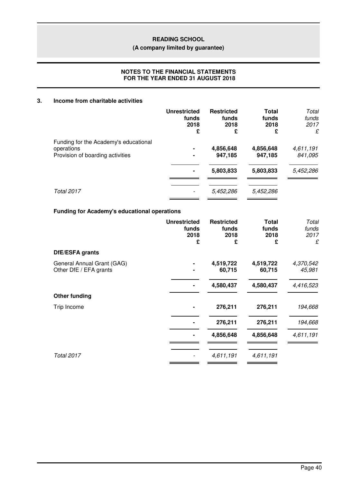**(A company limited by guarantee)**

# **NOTES TO THE FINANCIAL STATEMENTS FOR THE YEAR ENDED 31 AUGUST 2018**

## **3. Income from charitable activities**

|                                                     | <b>Unrestricted</b><br>funds<br>2018<br>£ | <b>Restricted</b><br>funds<br>2018<br>£ | Total<br>funds<br>2018<br>£ | Total<br>funds<br>2017<br>£ |
|-----------------------------------------------------|-------------------------------------------|-----------------------------------------|-----------------------------|-----------------------------|
| Funding for the Academy's educational<br>operations |                                           | 4,856,648                               | 4,856,648                   | 4,611,191                   |
| Provision of boarding activities                    |                                           | 947,185                                 | 947,185                     | 841,095                     |
|                                                     |                                           | 5,803,833                               | 5,803,833                   | 5,452,286                   |
| <b>Total 2017</b>                                   |                                           | 5,452,286                               | 5,452,286                   |                             |

# **Funding for Academy's educational operations**

|                                                      | <b>Unrestricted</b><br>funds<br>2018<br>£ | <b>Restricted</b><br>funds<br>2018<br>£ | <b>Total</b><br>funds<br>2018<br>£ | Total<br>funds<br>2017<br>£ |
|------------------------------------------------------|-------------------------------------------|-----------------------------------------|------------------------------------|-----------------------------|
| DfE/ESFA grants                                      |                                           |                                         |                                    |                             |
| General Annual Grant (GAG)<br>Other DfE / EFA grants |                                           | 4,519,722<br>60,715                     | 4,519,722<br>60,715                | 4,370,542<br>45,981         |
|                                                      |                                           | 4,580,437                               | 4,580,437                          | 4,416,523                   |
| <b>Other funding</b>                                 |                                           |                                         |                                    |                             |
| Trip Income                                          |                                           | 276,211                                 | 276,211                            | 194,668                     |
|                                                      |                                           | 276,211                                 | 276,211                            | 194,668                     |
|                                                      |                                           | 4,856,648                               | 4,856,648                          | 4,611,191                   |
| Total 2017                                           |                                           | 4,611,191                               | 4,611,191                          |                             |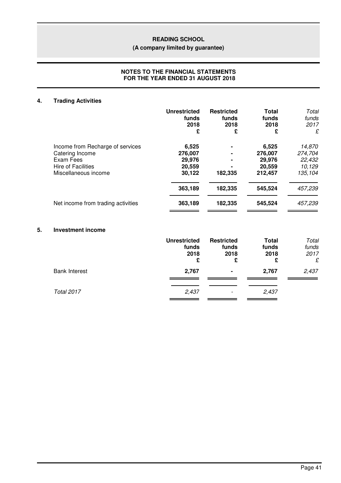# **(A company limited by guarantee)**

# **NOTES TO THE FINANCIAL STATEMENTS FOR THE YEAR ENDED 31 AUGUST 2018**

# **4. Trading Activities**

|                                                                                                                | <b>Unrestricted</b><br>funds<br>2018<br>£      | <b>Restricted</b><br>funds<br>2018<br>£ | <b>Total</b><br>funds<br>2018<br>£              | Total<br>funds<br>2017<br>£                      |
|----------------------------------------------------------------------------------------------------------------|------------------------------------------------|-----------------------------------------|-------------------------------------------------|--------------------------------------------------|
| Income from Recharge of services<br>Catering Income<br>Exam Fees<br>Hire of Facilities<br>Miscellaneous income | 6,525<br>276,007<br>29,976<br>20,559<br>30,122 | ٠<br>۰<br>۰<br>182,335                  | 6,525<br>276,007<br>29,976<br>20,559<br>212,457 | 14,870<br>274,704<br>22,432<br>10,129<br>135,104 |
|                                                                                                                | 363,189                                        | 182,335                                 | 545,524                                         | 457,239                                          |
| Net income from trading activities                                                                             | 363,189                                        | 182,335                                 | 545,524                                         | 457,239                                          |

# **5. Investment income**

|                      | <b>Unrestricted</b><br>funds<br>2018<br>£ | <b>Restricted</b><br>funds<br>2018<br>£ | <b>Total</b><br>funds<br>2018<br>£ | Total<br>funds<br>2017<br>£ |
|----------------------|-------------------------------------------|-----------------------------------------|------------------------------------|-----------------------------|
| <b>Bank Interest</b> | 2,767                                     | $\blacksquare$                          | 2,767                              | 2,437                       |
| <b>Total 2017</b>    | 2,437                                     | $\overline{\phantom{a}}$                | 2,437                              |                             |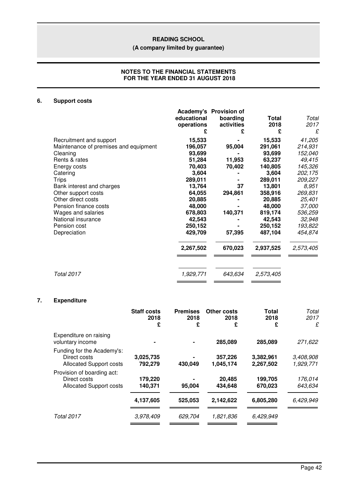# **(A company limited by guarantee)**

### **NOTES TO THE FINANCIAL STATEMENTS FOR THE YEAR ENDED 31 AUGUST 2018**

# **6. Support costs**

|                                       | educational<br>operations | Academy's Provision of<br>boarding<br>activities<br>£ | Total<br>2018<br>£ | Total<br>2017<br>£ |
|---------------------------------------|---------------------------|-------------------------------------------------------|--------------------|--------------------|
| Recruitment and support               | 15,533                    |                                                       | 15,533             | 41,205             |
| Maintenance of premises and equipment | 196,057                   | 95,004                                                | 291,061            | 214,931            |
| Cleaning                              | 93,699                    |                                                       | 93,699             | 152,040            |
| Rents & rates                         | 51,284                    | 11,953                                                | 63,237             | 49,415             |
| Energy costs                          | 70,403                    | 70,402                                                | 140,805            | 145,326            |
| Catering                              | 3,604                     |                                                       | 3,604              | 202,175            |
| <b>Trips</b>                          | 289,011                   |                                                       | 289,011            | 209,227            |
| Bank interest and charges             | 13,764                    | 37                                                    | 13,801             | 8,951              |
| Other support costs                   | 64,055                    | 294,861                                               | 358,916            | 269,831            |
| Other direct costs                    | 20,885                    |                                                       | 20,885             | 25,401             |
| Pension finance costs                 | 48,000                    |                                                       | 48,000             | <i>37,000</i>      |
| Wages and salaries                    | 678,803                   | 140,371                                               | 819,174            | 536,259            |
| National insurance                    | 42,543                    |                                                       | 42,543             | 32,948             |
| Pension cost                          | 250,152                   |                                                       | 250,152            | 193,822            |
| Depreciation                          | 429,709                   | 57,395                                                | 487,104            | 454,874            |
|                                       | 2,267,502                 | 670,023                                               | 2,937,525          | 2,573,405          |
| Total 2017                            | 1,929,771                 | 643,634                                               | 2,573,405          |                    |
|                                       |                           |                                                       |                    |                    |

# **7. Expenditure**

|                                                                              | <b>Staff costs</b><br>2018<br>£ | <b>Premises</b><br>2018<br>£ | <b>Other costs</b><br>2018<br>£ | <b>Total</b><br>2018<br>£ | Total<br>2017<br>£     |
|------------------------------------------------------------------------------|---------------------------------|------------------------------|---------------------------------|---------------------------|------------------------|
| Expenditure on raising<br>voluntary income                                   |                                 |                              | 285,089                         | 285,089                   | 271,622                |
| Funding for the Academy's:<br>Direct costs<br><b>Allocated Support costs</b> | 3,025,735<br>792,279            | 430,049                      | 357,226<br>1,045,174            | 3,382,961<br>2,267,502    | 3,408,908<br>1,929,771 |
| Provision of boarding act:<br>Direct costs<br><b>Allocated Support costs</b> | 179,220<br>140,371              | 95,004                       | 20,485<br>434.648               | 199,705<br>670,023        | 176,014<br>643,634     |
|                                                                              | 4,137,605                       | 525,053                      | 2,142,622                       | 6,805,280                 | 6,429,949              |
| <b>Total 2017</b>                                                            | 3,978,409                       | 629,704                      | 1,821,836                       | 6,429,949                 |                        |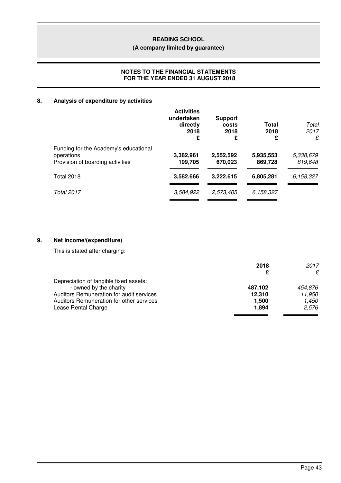# **(A company limited by guarantee)**

# **NOTES TO THE FINANCIAL STATEMENTS FOR THE YEAR ENDED 31 AUGUST 2018**

# **8. Analysis of expenditure by activities**

|                                                                                         | <b>Activities</b><br>undertaken<br>directly<br>2018<br>£ | <b>Support</b><br>costs<br>2018<br>£ | Total<br>2018<br>£   | Total<br>2017<br>£   |
|-----------------------------------------------------------------------------------------|----------------------------------------------------------|--------------------------------------|----------------------|----------------------|
| Funding for the Academy's educational<br>operations<br>Provision of boarding activities | 3,382,961<br>199,705                                     | 2,552,592<br>670,023                 | 5,935,553<br>869,728 | 5,338,679<br>819,648 |
| <b>Total 2018</b>                                                                       | 3,582,666                                                | 3,222,615                            | 6,805,281            | 6,158,327            |
| <b>Total 2017</b>                                                                       | 3,584,922                                                | 2,573,405                            | 6,158,327            |                      |

# **9. Net income/(expenditure)**

This is stated after charging:

|                                          | 2018    | 2017    |
|------------------------------------------|---------|---------|
|                                          | £       | £       |
| Depreciation of tangible fixed assets:   |         |         |
| - owned by the charity                   | 487.102 | 454.876 |
| Auditors Remuneration for audit services | 12,310  | 11.950  |
| Auditors Remuneration for other services | 1.500   | 1.450   |
| Lease Rental Charge                      | 1.894   | 2.576   |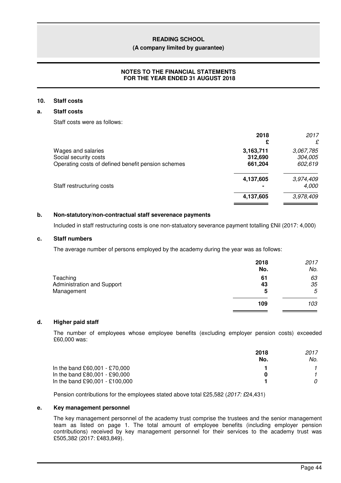#### **(A company limited by guarantee)**

# **NOTES TO THE FINANCIAL STATEMENTS FOR THE YEAR ENDED 31 AUGUST 2018**

# **10. Staff costs**

# **a. Staff costs**

Staff costs were as follows:

|                                                                             | 2018               | 2017<br>£          |
|-----------------------------------------------------------------------------|--------------------|--------------------|
| Wages and salaries                                                          | 3,163,711          | 3,067,785          |
| Social security costs<br>Operating costs of defined benefit pension schemes | 312,690<br>661,204 | 304,005<br>602,619 |
| Staff restructuring costs                                                   | 4,137,605          | 3,974,409<br>4,000 |
|                                                                             | 4,137,605          | 3,978,409          |

# **b. Non-statutory/non-contractual staff severenace payments**

Included in staff restructuring costs is one non-statuatory severance payment totalling £Nil (2017: 4,000)

### **c. Staff numbers**

The average number of persons employed by the academy during the year was as follows:

|                                                      | 2018<br>No.   | 2017<br>No.   |
|------------------------------------------------------|---------------|---------------|
| Teaching<br>Administration and Support<br>Management | 61<br>43<br>5 | 63<br>35<br>5 |
|                                                      | 109           | 103           |

#### **d. Higher paid staff**

The number of employees whose employee benefits (excluding employer pension costs) exceeded £60,000 was:

|                                | 2018 | 2017 |
|--------------------------------|------|------|
|                                | No.  | No.  |
| In the band £60,001 - £70,000  |      |      |
| In the band £80,001 - £90,000  |      |      |
| In the band £90,001 - £100,000 |      |      |

Pension contributions for the employees stated above total £25,582 (*2017: £*24,431)

#### **e. Key management personnel**

The key management personnel of the academy trust comprise the trustees and the senior management team as listed on page 1. The total amount of employee benefits (including employer pension contributions) received by key management personnel for their services to the academy trust was £505,382 (2017: £483,849).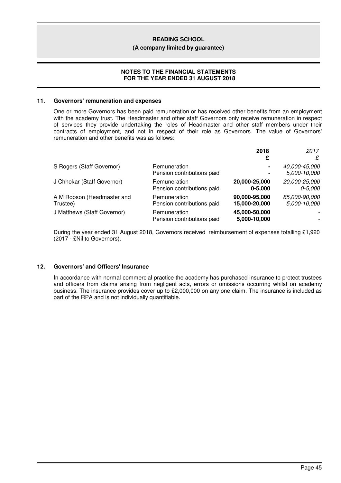#### **(A company limited by guarantee)**

## **NOTES TO THE FINANCIAL STATEMENTS FOR THE YEAR ENDED 31 AUGUST 2018**

#### **11. Governors' remuneration and expenses**

One or more Governors has been paid remuneration or has received other benefits from an employment with the academy trust. The Headmaster and other staff Governors only receive remuneration in respect of services they provide undertaking the roles of Headmaster and other staff members under their contracts of employment, and not in respect of their role as Governors. The value of Governors' remuneration and other benefits was as follows:

|                             |                            | 2018          | 2017                     |
|-----------------------------|----------------------------|---------------|--------------------------|
|                             |                            | £             | £                        |
| S Rogers (Staff Governor)   | Remuneration               | ۰             | 40,000-45,000            |
|                             | Pension contributions paid | ۰             | 5,000-10,000             |
| J Chhokar (Staff Governor)  | Remuneration               | 20,000-25,000 | 20,000-25,000            |
|                             | Pension contributions paid | $0 - 5.000$   | 0-5.000                  |
| A M Robson (Headmaster and  | Remuneration               | 90,000-95,000 | 85,000-90,000            |
| Trustee)                    | Pension contributions paid | 15,000-20,000 | 5,000-10,000             |
| J Matthews (Staff Governor) | Remuneration               | 45,000-50,000 | $\overline{\phantom{a}}$ |
|                             | Pension contributions paid | 5,000-10,000  | -                        |

During the year ended 31 August 2018, Governors received reimbursement of expenses totalling £1,920 (2017 - £Nil to Governors).

# **12. Governors' and Officers' Insurance**

In accordance with normal commercial practice the academy has purchased insurance to protect trustees and officers from claims arising from negligent acts, errors or omissions occurring whilst on academy business. The insurance provides cover up to £2,000,000 on any one claim. The insurance is included as part of the RPA and is not individually quantifiable.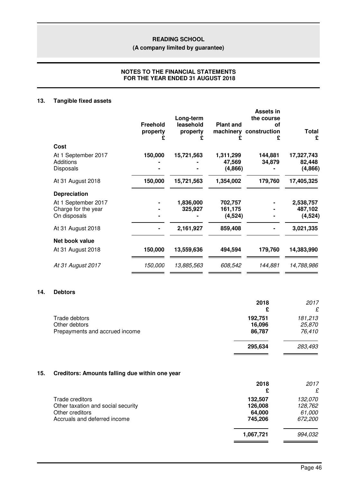**(A company limited by guarantee)**

# **NOTES TO THE FINANCIAL STATEMENTS FOR THE YEAR ENDED 31 AUGUST 2018**

# **13. Tangible fixed assets**

|                                                            | <b>Freehold</b><br>property | Long-term<br>leasehold<br>property | <b>Plant and</b>               | <b>Assets in</b><br>the course<br>οf<br>machinery construction<br>£ | <b>Total</b><br>£                |
|------------------------------------------------------------|-----------------------------|------------------------------------|--------------------------------|---------------------------------------------------------------------|----------------------------------|
| Cost                                                       |                             |                                    |                                |                                                                     |                                  |
| At 1 September 2017<br><b>Additions</b><br>Disposals       | 150,000                     | 15,721,563                         | 1,311,299<br>47,569<br>(4,866) | 144,881<br>34,879                                                   | 17,327,743<br>82,448<br>(4,866)  |
| At 31 August 2018                                          | 150,000                     | 15,721,563                         | 1,354,002                      | 179,760                                                             | 17,405,325                       |
| <b>Depreciation</b>                                        |                             |                                    |                                |                                                                     |                                  |
| At 1 September 2017<br>Charge for the year<br>On disposals |                             | 1,836,000<br>325,927               | 702,757<br>161,175<br>(4, 524) |                                                                     | 2,538,757<br>487,102<br>(4, 524) |
| At 31 August 2018                                          |                             | 2,161,927                          | 859,408                        |                                                                     | 3,021,335                        |
| Net book value                                             |                             |                                    |                                |                                                                     |                                  |
| At 31 August 2018                                          | 150,000                     | 13,559,636                         | 494,594                        | 179,760                                                             | 14,383,990                       |
| At 31 August 2017                                          | 150,000                     | 13,885,563                         | 608,542                        | 144,881                                                             | 14,788,986                       |

# **14. Debtors**

| 2018<br>£ | 2017<br>£ |
|-----------|-----------|
| 192,751   | 181,213   |
| 16,096    | 25,870    |
| 86,787    | 76,410    |
| 295,634   | 283,493   |
|           |           |

# **15. Creditors: Amounts falling due within one year**

| 2018<br>£ | 2017<br>£ |
|-----------|-----------|
| 132,507   | 132,070   |
| 126,008   | 128,762   |
| 64,000    | 61,000    |
| 745,206   | 672,200   |
| 1,067,721 | 994,032   |
|           |           |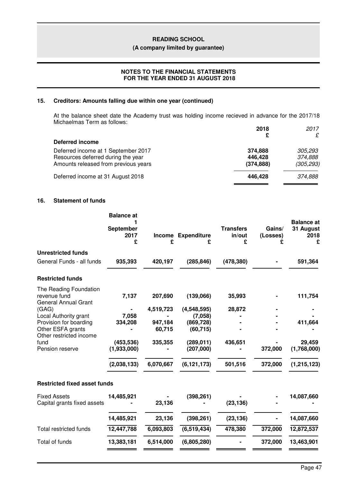#### **(A company limited by guarantee)**

# **NOTES TO THE FINANCIAL STATEMENTS FOR THE YEAR ENDED 31 AUGUST 2018**

# **15. Creditors: Amounts falling due within one year (continued)**

At the balance sheet date the Academy trust was holding income recieved in advance for the 2017/18 Michaelmas Term as follows:

|                                      | 2018<br>£  | 2017<br>£  |
|--------------------------------------|------------|------------|
| Deferred income                      |            |            |
| Deferred income at 1 September 2017  | 374,888    | 305,293    |
| Resources deferred during the year   | 446,428    | 374,888    |
| Amounts released from previous years | (374, 888) | (305, 293) |
| Deferred income at 31 August 2018    | 446.428    | 374,888    |

# **16. Statement of funds**

|                                                                       | <b>Balance</b> at<br>September<br>2017<br>£ | £         | Income Expenditure<br>£ | <b>Transfers</b><br>in/out<br>£ | Gains/<br>(Losses)<br>£ | <b>Balance</b> at<br>31 August<br>2018<br>£ |
|-----------------------------------------------------------------------|---------------------------------------------|-----------|-------------------------|---------------------------------|-------------------------|---------------------------------------------|
| <b>Unrestricted funds</b>                                             |                                             |           |                         |                                 |                         |                                             |
| General Funds - all funds                                             | 935,393                                     | 420,197   | (285, 846)              | (478, 380)                      |                         | 591,364                                     |
| <b>Restricted funds</b>                                               |                                             |           |                         |                                 |                         |                                             |
| The Reading Foundation<br>revenue fund<br><b>General Annual Grant</b> | 7,137                                       | 207,690   | (139,066)               | 35,993                          |                         | 111,754                                     |
| (GAG)                                                                 |                                             | 4,519,723 | (4,548,595)             | 28,872                          |                         |                                             |
| Local Authority grant                                                 | 7,058                                       |           | (7,058)                 |                                 |                         |                                             |
| Provision for boarding                                                | 334,208                                     | 947,184   | (869, 728)              |                                 |                         | 411,664                                     |
| Other ESFA grants<br>Other restricted income                          |                                             | 60,715    | (60, 715)               |                                 |                         |                                             |
| fund                                                                  | (453, 536)                                  | 335,355   | (289, 011)              | 436,651                         |                         | 29,459                                      |
| Pension reserve                                                       | (1,933,000)                                 |           | (207,000)               |                                 | 372,000                 | (1,768,000)                                 |
|                                                                       | (2,038,133)                                 | 6,070,667 | (6, 121, 173)           | 501,516                         | 372,000                 | (1, 215, 123)                               |
| <b>Restricted fixed asset funds</b>                                   |                                             |           |                         |                                 |                         |                                             |
| <b>Fixed Assets</b><br>Capital grants fixed assets                    | 14,485,921                                  | 23,136    | (398, 261)              | (23, 136)                       |                         | 14,087,660                                  |
|                                                                       | 14,485,921                                  | 23,136    | (398, 261)              | (23, 136)                       |                         | 14,087,660                                  |
| <b>Total restricted funds</b>                                         | 12,447,788                                  | 6,093,803 | (6, 519, 434)           | 478,380                         | 372,000                 | 12,872,537                                  |
| Total of funds                                                        | 13,383,181                                  | 6,514,000 | (6,805,280)             |                                 | 372,000                 | 13,463,901                                  |
|                                                                       |                                             |           |                         |                                 |                         |                                             |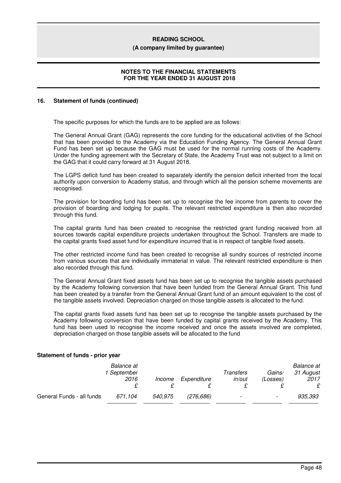#### **(A company limited by guarantee)**

## **NOTES TO THE FINANCIAL STATEMENTS FOR THE YEAR ENDED 31 AUGUST 2018**

#### **16. Statement of funds (continued)**

The specific purposes for which the funds are to be applied are as follows:

The General Annual Grant (GAG) represents the core funding for the educational activities of the School that has been provided to the Academy via the Education Funding Agency. The General Annual Grant Fund has been set up because the GAG must be used for the normal running costs of the Academy. Under the funding agreement with the Secretary of State, the Academy Trust was not subject to a limit on the GAG that it could carry forward at 31 August 2018.

The LGPS deficit fund has been created to separately identify the pension deficit inherited from the local authority upon conversion to Academy status, and through which all the pension scheme movements are recognised.

The provision for boarding fund has been set up to recognise the fee income from parents to cover the provision of boarding and lodging for pupils. The relevant restricted expenditure is then also recorded through this fund.

The capital grants fund has been created to recognise the restricted grant funding received from all sources towards capital expenditure projects undertaken throughout the School. Transfers are made to the capital grants fixed asset fund for expenditure incurred that is in respect of tangible fixed assets.

The other restricted income fund has been created to recognise all sundry sources of restricted income from various sources that are individually immaterial in value. The relevant restricted expenditure is then also recorded through this fund.

The General Annual Grant fixed assets fund has been set up to recognise the tangible assets purchased by the Academy following conversion that have been funded from the General Annual Grant. This fund has been created by a transfer from the General Annual Grant fund of an amount equivalent to the cost of the tangible assets involved. Depreciation charged on those tangible assets is allocated to the fund.

The capital grants fixed assets fund has been set up to recognise the tangible assets purchased by the Academy following conversion that have been funded by capital grants received by the Academy. This fund has been used to recognise the income received and once the assets involved are completed, depreciation charged on those tangible assets will be allocated to the fund

|                           | Balance at<br>1 September<br>2016 | Income  | Expenditure | Transfers<br>in/out | Gains/<br>(Losses)       | <b>Balance</b> at<br>31 August<br>2017<br>£ |
|---------------------------|-----------------------------------|---------|-------------|---------------------|--------------------------|---------------------------------------------|
| General Funds - all funds | 671.104                           | 540.975 | (276,686)   |                     | $\overline{\phantom{a}}$ | 935,393                                     |

#### **Statement of funds - prior year**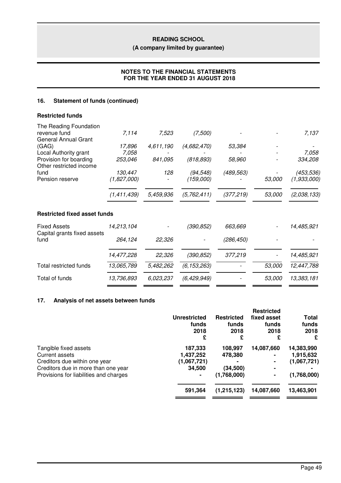# **(A company limited by guarantee)**

# **NOTES TO THE FINANCIAL STATEMENTS FOR THE YEAR ENDED 31 AUGUST 2018**

# **16. Statement of funds (continued)**

| <b>Restricted funds</b>                                               |             |           |               |            |        |             |
|-----------------------------------------------------------------------|-------------|-----------|---------------|------------|--------|-------------|
| The Reading Foundation<br>revenue fund<br><b>General Annual Grant</b> | 7,114       | 7,523     | (7,500)       |            |        | 7,137       |
| (GAG)                                                                 | 17,896      | 4,611,190 | (4,682,470)   | 53,384     |        |             |
| Local Authority grant                                                 | 7,058       |           |               |            |        | 7,058       |
| Provision for boarding<br>Other restricted income                     | 253,046     | 841,095   | (818, 893)    | 58,960     |        | 334,208     |
| fund                                                                  | 130,447     | 128       | (94, 548)     | (489, 563) |        | (453, 536)  |
| Pension reserve                                                       | (1,827,000) |           | (159,000)     |            | 53,000 | (1,933,000) |
|                                                                       | (1,411,439) | 5,459,936 | (5, 762, 411) | (377, 219) | 53,000 | (2,038,133) |
| <b>Restricted fixed asset funds</b>                                   |             |           |               |            |        |             |
| <b>Fixed Assets</b><br>Capital grants fixed assets                    | 14,213,104  |           | (390, 852)    | 663,669    |        | 14,485,921  |
| fund                                                                  | 264,124     | 22,326    |               | (286, 450) |        |             |
|                                                                       | 14,477,228  | 22,326    | (390, 852)    | 377,219    |        | 14,485,921  |
| <b>Total restricted funds</b>                                         | 13,065,789  | 5,482,262 | (6, 153, 263) |            | 53,000 | 12,447,788  |
| Total of funds                                                        | 13,736,893  | 6,023,237 | (6,429,949)   |            | 53,000 | 13,383,181  |
|                                                                       |             |           |               |            |        |             |

# **17. Analysis of net assets between funds**

|                                                                                                                                                           | <b>Unrestricted</b><br>funds<br>2018<br>£     | <b>Restricted</b><br>funds<br>2018<br>£        | <b>Restricted</b><br>fixed asset<br>funds<br>2018<br>£ | <b>Total</b><br>funds<br>2018<br>£                    |
|-----------------------------------------------------------------------------------------------------------------------------------------------------------|-----------------------------------------------|------------------------------------------------|--------------------------------------------------------|-------------------------------------------------------|
| Tangible fixed assets<br>Current assets<br>Creditors due within one year<br>Creditors due in more than one year<br>Provisions for liabilities and charges | 187,333<br>1,437,252<br>(1,067,721)<br>34,500 | 108.997<br>478,380<br>(34, 500)<br>(1,768,000) | 14,087,660<br>$\blacksquare$<br>$\blacksquare$         | 14,383,990<br>1,915,632<br>(1,067,721)<br>(1,768,000) |
|                                                                                                                                                           | 591,364                                       | (1, 215, 123)                                  | 14,087,660                                             | 13,463,901                                            |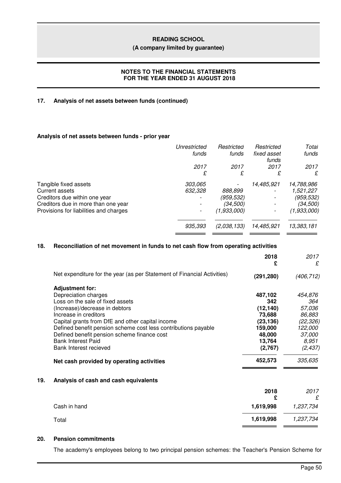#### **(A company limited by guarantee)**

### **NOTES TO THE FINANCIAL STATEMENTS FOR THE YEAR ENDED 31 AUGUST 2018**

### **17. Analysis of net assets between funds (continued)**

# **Analysis of net assets between funds - prior year**

| Unrestricted | Restricted  | Restricted | Total       |
|--------------|-------------|------------|-------------|
|              |             | funds      | funds       |
| 2017         | 2017        | 2017       | 2017        |
| £            | £           | £          | £           |
| 303,065      |             | 14,485,921 | 14,788,986  |
| 632,328      | 888,899     |            | 1,521,227   |
|              | (959,532)   |            | (959,532)   |
|              | (34,500)    |            | (34,500)    |
|              | (1,933,000) |            | (1,933,000) |
| 935,393      | (2,038,133) | 14,485,921 | 13,383,181  |
|              | funds       | funds      | fixed asset |

### **18. Reconciliation of net movement in funds to net cash flow from operating activities**

|     |                                                                         | 2018<br>£  | 2017<br>£  |
|-----|-------------------------------------------------------------------------|------------|------------|
|     | Net expenditure for the year (as per Statement of Financial Activities) | (291, 280) | (406, 712) |
|     | <b>Adjustment for:</b>                                                  |            |            |
|     | Depreciation charges                                                    | 487,102    | 454,876    |
|     | Loss on the sale of fixed assets                                        | 342        | 364        |
|     | (Increase)/decrease in debtors                                          | (12, 140)  | 57,036     |
|     | Increase in creditors                                                   | 73,688     | 86,883     |
|     | Capital grants from DfE and other capital income                        | (23, 136)  | (22, 326)  |
|     | Defined benefit pension scheme cost less contributions payable          | 159,000    | 122,000    |
|     | Defined benefit pension scheme finance cost                             | 48,000     | 37,000     |
|     | <b>Bank Interest Paid</b>                                               | 13,764     | 8,951      |
|     | Bank Interest recieved                                                  | (2,767)    | (2, 437)   |
|     | Net cash provided by operating activities                               | 452,573    | 335,635    |
| 19. | Analysis of cash and cash equivalents                                   |            |            |
|     |                                                                         | 2018       | 2017       |
|     |                                                                         | £          | £          |
|     | Cash in hand                                                            | 1,619,998  | 1,237,734  |
|     | Total                                                                   | 1,619,998  | 1,237,734  |
|     |                                                                         |            |            |

# **20. Pension commitments**

The academy's employees belong to two principal pension schemes: the Teacher's Pension Scheme for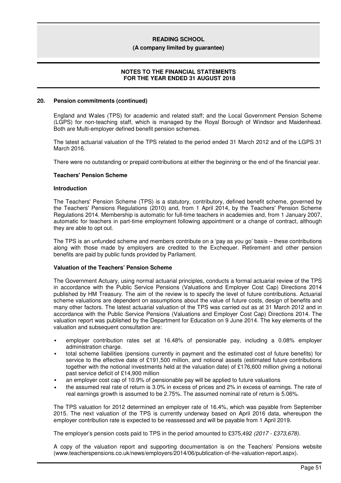#### **(A company limited by guarantee)**

## **NOTES TO THE FINANCIAL STATEMENTS FOR THE YEAR ENDED 31 AUGUST 2018**

#### **20. Pension commitments (continued)**

England and Wales (TPS) for academic and related staff; and the Local Government Pension Scheme (LGPS) for non-teaching staff, which is managed by the Royal Borough of Windsor and Maidenhead. Both are Multi-employer defined benefit pension schemes.

The latest actuarial valuation of the TPS related to the period ended 31 March 2012 and of the LGPS 31 March 2016.

There were no outstanding or prepaid contributions at either the beginning or the end of the financial year.

#### **Teachers' Pension Scheme**

#### **Introduction**

The Teachers' Pension Scheme (TPS) is a statutory, contributory, defined benefit scheme, governed by the Teachers' Pensions Regulations (2010) and, from 1 April 2014, by the Teachers' Pension Scheme Regulations 2014. Membership is automatic for full-time teachers in academies and, from 1 January 2007, automatic for teachers in part-time employment following appointment or a change of contract, although they are able to opt out.

The TPS is an unfunded scheme and members contribute on a 'pay as you go' basis – these contributions along with those made by employers are credited to the Exchequer. Retirement and other pension benefits are paid by public funds provided by Parliament.

### **Valuation of the Teachers' Pension Scheme**

The Government Actuary, using normal actuarial principles, conducts a formal actuarial review of the TPS in accordance with the Public Service Pensions (Valuations and Employer Cost Cap) Directions 2014 published by HM Treasury. The aim of the review is to specify the level of future contributions. Actuarial scheme valuations are dependent on assumptions about the value of future costs, design of benefits and many other factors. The latest actuarial valuation of the TPS was carried out as at 31 March 2012 and in accordance with the Public Service Pensions (Valuations and Employer Cost Cap) Directions 2014. The valuation report was published by the Department for Education on 9 June 2014. The key elements of the valuation and subsequent consultation are:

- employer contribution rates set at 16.48% of pensionable pay, including a 0.08% employer administration charge.
- total scheme liabilities (pensions currently in payment and the estimated cost of future benefits) for service to the effective date of £191,500 million, and notional assets (estimated future contributions together with the notional investments held at the valuation date) of £176,600 million giving a notional past service deficit of £14,900 million
- an employer cost cap of 10.9% of pensionable pay will be applied to future valuations
- the assumed real rate of return is 3.0% in excess of prices and 2% in excess of earnings. The rate of real earnings growth is assumed to be 2.75%. The assumed nominal rate of return is 5.06%.

The TPS valuation for 2012 determined an employer rate of 16.4%, which was payable from September 2015. The next valuation of the TPS is currently underway based on April 2016 data, whereupon the employer contribution rate is expected to be reassessed and will be payable from 1 April 2019.

The employer's pension costs paid to TPS in the period amounted to £375,492 *(2017 - £373,678).*

A copy of the valuation report and supporting documentation is on the Teachers' Pensions website (www.teacherspensions.co.uk/news/employers/2014/06/publication-of-the-valuation-report.aspx).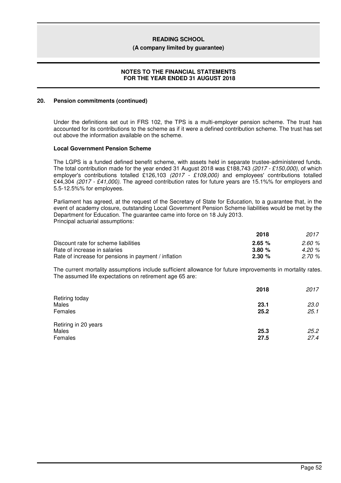#### **(A company limited by guarantee)**

### **NOTES TO THE FINANCIAL STATEMENTS FOR THE YEAR ENDED 31 AUGUST 2018**

### **20. Pension commitments (continued)**

Under the definitions set out in FRS 102, the TPS is a multi-employer pension scheme. The trust has accounted for its contributions to the scheme as if it were a defined contribution scheme. The trust has set out above the information available on the scheme.

#### **Local Government Pension Scheme**

The LGPS is a funded defined benefit scheme, with assets held in separate trustee-administered funds. The total contribution made for the year ended 31 August 2018 was £188,743 *(2017 - £150,000)*, of which employer's contributions totalled £126,103 *(2017 - £109,000)* and employees' contributions totalled £44,304 *(2017 - £41,000)*. The agreed contribution rates for future years are 15.1%% for employers and 5.5-12.5%% for employees.

Parliament has agreed, at the request of the Secretary of State for Education, to a guarantee that, in the event of academy closure, outstanding Local Government Pension Scheme liabilities would be met by the Department for Education. The guarantee came into force on 18 July 2013. Principal actuarial assumptions:

|                                                      | 2018      | 2017  |
|------------------------------------------------------|-----------|-------|
| Discount rate for scheme liabilities                 | 2.65%     | 2.60% |
| Rate of increase in salaries                         | 3.80%     | 4.20% |
| Rate of increase for pensions in payment / inflation | $2.30 \%$ | 2.70% |

The current mortality assumptions include sufficient allowance for future improvements in mortality rates. The assumed life expectations on retirement age 65 are:

|                      | 2018 | 2017 |
|----------------------|------|------|
| Retiring today       |      |      |
| Males                | 23.1 | 23.0 |
| Females              | 25.2 | 25.1 |
| Retiring in 20 years |      |      |
| Males                | 25.3 | 25.2 |
| Females              | 27.5 | 27.4 |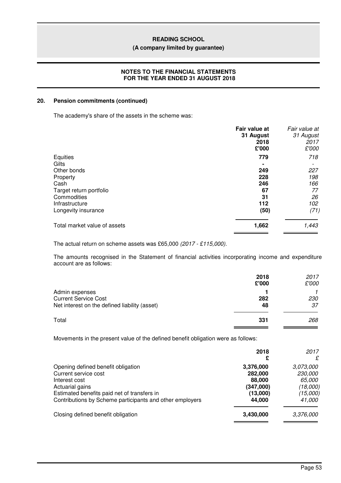### **(A company limited by guarantee)**

# **NOTES TO THE FINANCIAL STATEMENTS FOR THE YEAR ENDED 31 AUGUST 2018**

### **20. Pension commitments (continued)**

The academy's share of the assets in the scheme was:

|                              | Fair value at<br>31 August<br>2018<br>£'000 | Fair value at<br>31 August<br>2017<br>£'000 |
|------------------------------|---------------------------------------------|---------------------------------------------|
| Equities                     | 779                                         | 718                                         |
| Gilts                        |                                             |                                             |
| Other bonds                  | 249                                         | 227                                         |
| Property                     | 228                                         | 198                                         |
| Cash                         | 246                                         | 166                                         |
| Target return portfolio      | 67                                          | 77                                          |
| Commodities                  | 31                                          | 26                                          |
| Infrastructure               | 112                                         | 102                                         |
| Longevity insurance          | (50)                                        | (71)                                        |
| Total market value of assets | 1,662                                       | 1,443                                       |

The actual return on scheme assets was £65,000 *(2017 - £115,000).*

The amounts recognised in the Statement of financial activities incorporating income and expenditure account are as follows:

|                                                                                                | 2018<br>£'000 | 2017<br>£'000    |
|------------------------------------------------------------------------------------------------|---------------|------------------|
| Admin expenses<br><b>Current Service Cost</b><br>Net interest on the defined liability (asset) | 282<br>48     | <i>230</i><br>37 |
| Total                                                                                          | 331           | 268              |

Movements in the present value of the defined benefit obligation were as follows:

|                                                                                                                                                                                                           | 2018<br>£                                                         | 2017<br>£                                                               |
|-----------------------------------------------------------------------------------------------------------------------------------------------------------------------------------------------------------|-------------------------------------------------------------------|-------------------------------------------------------------------------|
| Opening defined benefit obligation<br>Current service cost<br>Interest cost<br>Actuarial gains<br>Estimated benefits paid net of transfers in<br>Contributions by Scheme participants and other employers | 3,376,000<br>282,000<br>88,000<br>(347,000)<br>(13,000)<br>44,000 | 3,073,000<br>230,000<br><i>65,000</i><br>(18,000)<br>(15,000)<br>41,000 |
| Closing defined benefit obligation                                                                                                                                                                        | 3.430,000                                                         | 3,376,000                                                               |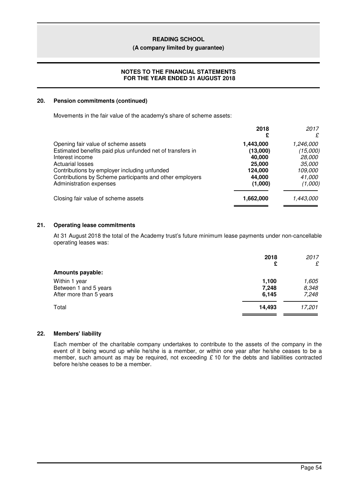#### **(A company limited by guarantee)**

# **NOTES TO THE FINANCIAL STATEMENTS FOR THE YEAR ENDED 31 AUGUST 2018**

### **20. Pension commitments (continued)**

Movements in the fair value of the academy's share of scheme assets:

|                                                           | 2018<br>£ | 2017<br>£     |
|-----------------------------------------------------------|-----------|---------------|
| Opening fair value of scheme assets                       | 1,443,000 | 1,246,000     |
| Estimated benefits paid plus unfunded net of transfers in | (13,000)  | (15,000)      |
| Interest income                                           | 40,000    | 28,000        |
| <b>Actuarial losses</b>                                   | 25,000    | <i>35,000</i> |
| Contributions by employer including unfunded              | 124,000   | 109,000       |
| Contributions by Scheme participants and other employers  | 44,000    | 41,000        |
| Administration expenses                                   | (1,000)   | (1,000)       |
| Closing fair value of scheme assets                       | 1,662,000 | 1,443,000     |

### **21. Operating lease commitments**

At 31 August 2018 the total of the Academy trust's future minimum lease payments under non-cancellable operating leases was:

|                         | 2018<br>£ | 2017<br>£ |
|-------------------------|-----------|-----------|
| <b>Amounts payable:</b> |           |           |
| Within 1 year           | 1,100     | 1,605     |
| Between 1 and 5 years   | 7,248     | 8,348     |
| After more than 5 years | 6,145     | 7,248     |
| Total                   | 14,493    | 17,201    |
|                         |           |           |

#### **22. Members' liability**

Each member of the charitable company undertakes to contribute to the assets of the company in the event of it being wound up while he/she is a member, or within one year after he/she ceases to be a member, such amount as may be required, not exceeding *£* 10 for the debts and liabilities contracted before he/she ceases to be a member.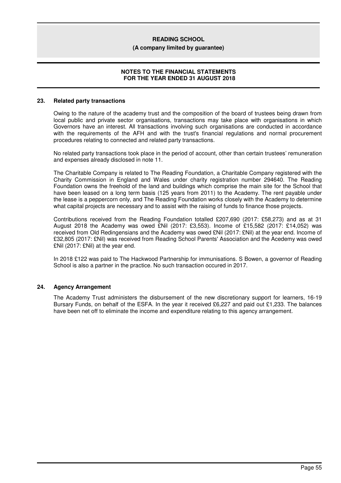#### **(A company limited by guarantee)**

## **NOTES TO THE FINANCIAL STATEMENTS FOR THE YEAR ENDED 31 AUGUST 2018**

#### **23. Related party transactions**

Owing to the nature of the academy trust and the composition of the board of trustees being drawn from local public and private sector organisations, transactions may take place with organisations in which Governors have an interest. All transactions involving such organisations are conducted in accordance with the requirements of the AFH and with the trust's financial regulations and normal procurement procedures relating to connected and related party transactions.

No related party transactions took place in the period of account, other than certain trustees' remuneration and expenses already disclosed in note 11.

The Charitable Company is related to The Reading Foundation, a Charitable Company registered with the Charity Commission in England and Wales under charity registration number 294640. The Reading Foundation owns the freehold of the land and buildings which comprise the main site for the School that have been leased on a long term basis (125 years from 2011) to the Academy. The rent payable under the lease is a peppercorn only, and The Reading Foundation works closely with the Academy to determine what capital projects are necessary and to assist with the raising of funds to finance those projects.

Contributions received from the Reading Foundation totalled £207,690 (2017: £58,273) and as at 31 August 2018 the Academy was owed £Nil (2017: £3,553). Income of £15,582 (2017: £14,052) was received from Old Redingensians and the Academy was owed £Nil (2017: £Nil) at the year end. Income of £32,805 (2017: £Nil) was received from Reading School Parents' Association and the Acedemy was owed £Nil (2017: £Nil) at the year end.

In 2018 £122 was paid to The Hackwood Partnership for immunisations. S Bowen, a governor of Reading School is also a partner in the practice. No such transaction occured in 2017.

# **24. Agency Arrangement**

The Academy Trust administers the disbursement of the new discretionary support for learners, 16-19 Bursary Funds, on behalf of the ESFA. In the year it received £6,227 and paid out £1,233. The balances have been net off to eliminate the income and expenditure relating to this agency arrangement.